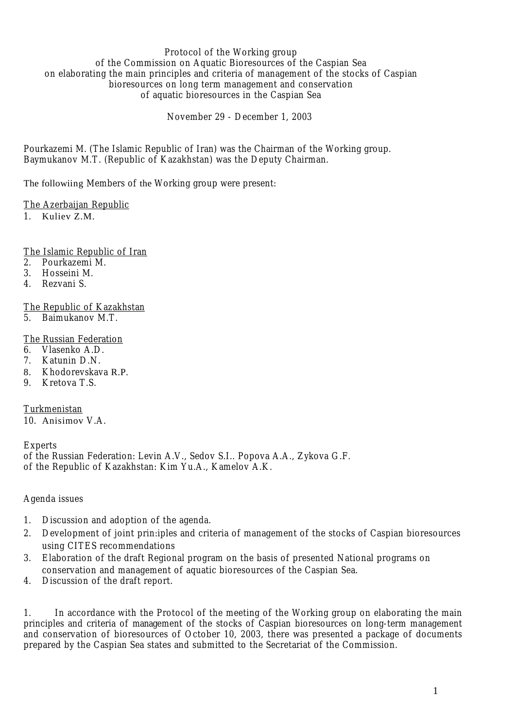## Protocol of the Working group of the Commission on Aquatic Bioresources of the Caspian Sea on elaborating the main principles and criteria of management of the stocks of Caspian bioresources on long term management and conservation of aquatic bioresources in the Caspian Sea

November 29 - December 1, 2003

Pourkazemi M. (The Islamic Republic of Iran) was the Chairman of the Working group. Baymukanov M.T. (Republic of Kazakhstan) was the Deputy Chairman.

The followiing Members of the Working group were present:

The Azerbaijan Republic

1. Kuliev Z.M.

## The Islamic Republic of Iran

- 2. Pourkazemi M.
- 3. Hosseini M.
- 4. Rezvani S.

The Republic of Kazakhstan

5. Baimukanov M.T.

The Russian Federation

- 6. Vlasenko A.D.
- 7. Katunin D.N.
- 8. Khodorevskava R.P.
- 9. Kretova T.S.

Turkmenistan

10. Anisimov V.A.

Experts of the Russian Federation: Levin A.V., Sedov S.I.. Popova A.A., Zykova G.F. of the Republic of Kazakhstan: Kim Yu.A., Kamelov A.K.

Agenda issues

- 1. Discussion and adoption of the agenda.
- 2. Development of joint prin:iples and criteria of management of the stocks of Caspian bioresources using CITES recommendations
- 3. Elaboration of the draft Regional program on the basis of presented National programs on conservation and management of aquatic bioresources of the Caspian Sea.
- 4. Discussion of the draft report.

1. In accordance with the Protocol of the meeting of the Working group on elaborating the main principles and criteria of management of the stocks of Caspian bioresources on long-term management and conservation of bioresources of October 10, 2003, there was presented a package of documents prepared by the Caspian Sea states and submitted to the Secretariat of the Commission.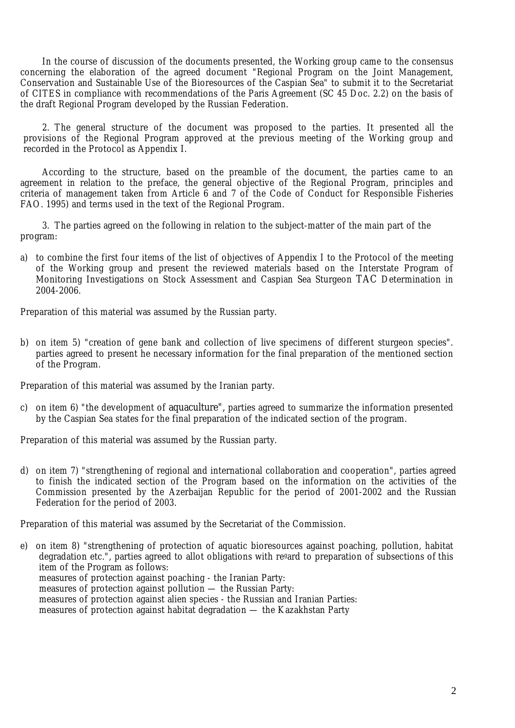In the course of discussion of the documents presented, the Working group came to the consensus concerning the elaboration of the agreed document "Regional Program on the Joint Management, Conservation and Sustainable Use of the Bioresources of the Caspian Sea" to submit it to the Secretariat of CITES in compliance with recommendations of the Paris Agreement (SC 45 Doc. 2.2) on the basis of the draft Regional Program developed by the Russian Federation.

2. The general structure of the document was proposed to the parties. It presented all the provisions of the Regional Program approved at the previous meeting of the Working group and recorded in the Protocol as Appendix I.

According to the structure, based on the preamble of the document, the parties came to an agreement in relation to the preface, the general objective of the Regional Program, principles and criteria of management taken from Article 6 and 7 of the Code of Conduct for Responsible Fisheries FAO. 1995) and terms used in the text of the Regional Program.

3. The parties agreed on the following in relation to the subject-matter of the main part of the program:

a) to combine the first four items of the list of objectives of Appendix I to the Protocol of the meeting of the Working group and present the reviewed materials based on the Interstate Program of Monitoring Investigations on Stock Assessment and Caspian Sea Sturgeon TAC Determination in 2004-2006.

Preparation of this material was assumed by the Russian party.

b) on item 5) "creation of gene bank and collection of live specimens of different sturgeon species". parties agreed to present he necessary information for the final preparation of the mentioned section of the Program.

Preparation of this material was assumed by the Iranian party.

c) on item 6) "the development of aquaculture", parties agreed to summarize the information presented by the Caspian Sea states for the final preparation of the indicated section of the program.

Preparation of this material was assumed by the Russian party.

d) on item 7) "strengthening of regional and international collaboration and cooperation", parties agreed to finish the indicated section of the Program based on the information on the activities of the Commission presented by the Azerbaijan Republic for the period of 2001-2002 and the Russian Federation for the period of 2003.

Preparation of this material was assumed by the Secretariat of the Commission.

e) on item 8) "strengthening of protection of aquatic bioresources against poaching, pollution, habitat degradation etc.", parties agreed to allot obligations with regard to preparation of subsections of this item of the Program as follows: measures of protection against poaching - the Iranian Party: measures of protection against pollution — the Russian Party: measures of protection against alien species - the Russian and Iranian Parties: measures of protection against habitat degradation — the Kazakhstan Party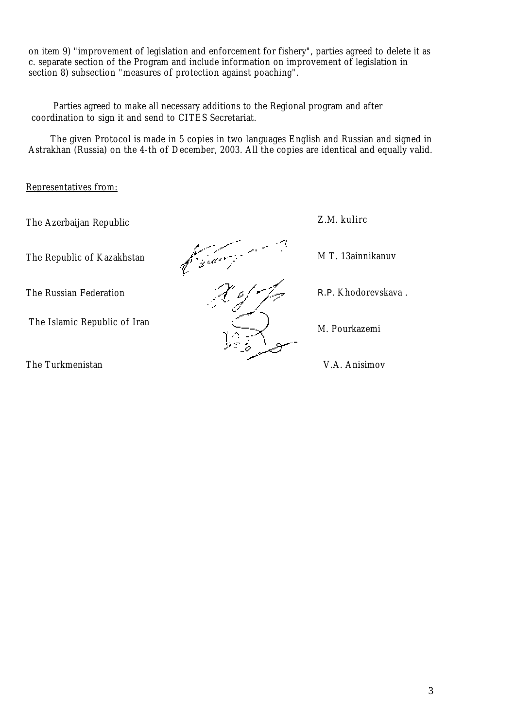on item 9) "improvement of legislation and enforcement for fishery", parties agreed to delete it as c. separate section of the Program and include information on improvement of legislation in section 8) subsection "measures of protection against poaching".

Parties agreed to make all necessary additions to the Regional program and after coordination to sign it and send to CITES Secretariat.

The given Protocol is made in 5 copies in two languages English and Russian and signed in Astrakhan (Russia) on the 4-th of December, 2003. All the copies are identical and equally valid.

Representatives from:

The Azerbaijan Republic

The Republic of Kazakhstan

The Russian Federation

The Islamic Republic of Iran

The Turkmenistan V.A. Anisimov

Z.M. kulirc

M T. 13ainnikanuv

R.P. Khodorevskava .

M. Pourkazemi

3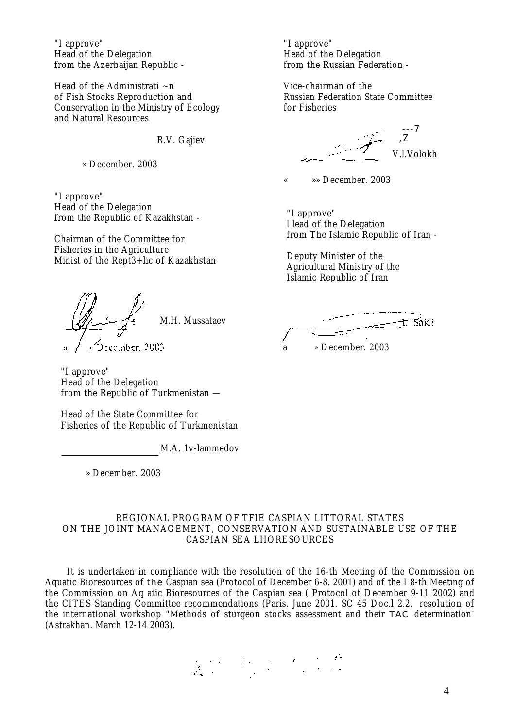"I approve" Head of the Delegation from the Azerbaijan Republic -

Head of the Administrati ~n of Fish Stocks Reproduction and Conservation in the Ministry of Ecology and Natural Resources

R.V. Gajiev

» December. 2003

"I approve" Head of the Delegation from the Republic of Kazakhstan -

Chairman of the Committee for Fisheries in the Agriculture Minist of the Rept3+lic of Kazakhstan

M.H. Mussataev ≈December, 2003

"I approve" Head of the Delegation from the Republic of Turkmenistan —

Head of the State Committee for Fisheries of the Republic of Turkmenistan

M.A. 1v-lammedov

» December. 2003

"I approve" Head of the Delegation from the Russian Federation -

Vice-chairman of the Russian Federation State Committee for Fisheries

*---7*  ,Z V.l.Volokh

« »» December. 2003

"I approve" l lead of the Delegation from The Islamic Republic of Iran -

Deputy Minister of the Agricultural Ministry of the Islamic Republic of Iran

er erne energie Salch<br><mark>er</mark> ernes energie Salch a » December. 2003

# REGIONAL PROGRAM OF TFIE CASPIAN LITTORAL STATES ON THE JOINT MANAGEMENT, CONSERVATION AND SUSTAINABLE USE OF THE CASPIAN SEA LIIORESOURCES

It is undertaken in compliance with the resolution of the 16-th Meeting of the Commission on Aquatic Bioresources of the Caspian sea (Protocol of December 6-8. 2001) and of the I 8-th Meeting of the Commission on Aq atic Bioresources of the Caspian sea ( Protocol of December 9-11 2002) and the CITES Standing Committee recommendations (Paris. June 2001. SC 45 Doc.l 2.2. resolution of the international workshop "Methods of sturgeon stocks assessment and their TAC determination" (Astrakhan. March 12-14 2003).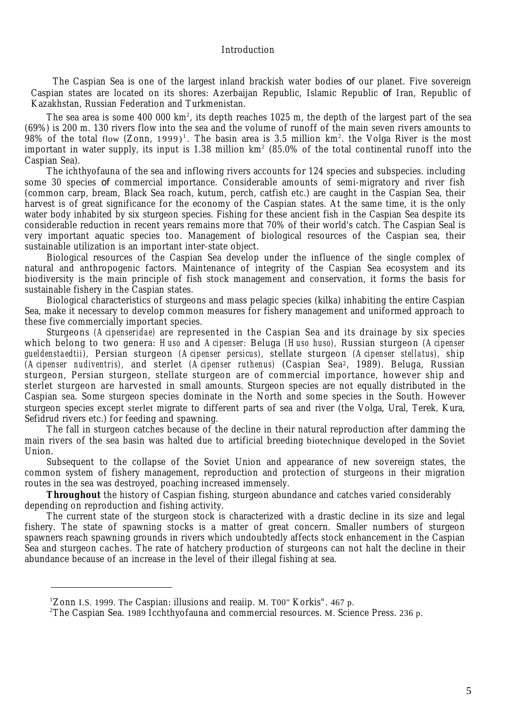#### Introduction

The Caspian Sea is one of the largest inland brackish water bodies of our planet. Five sovereign Caspian states are located on its shores: Azerbaijan Republic, Islamic Republic of Iran, Republic of Kazakhstan, Russian Federation and Turkmenistan.

The sea area is some  $400\ 000\ km^2$ , its depth reaches 1025 m, the depth of the largest part of the sea (69%) is 200 m. 130 rivers flow into the sea and the volume of runoff of the main seven rivers amounts to  $98\%$  of the total flow (Zonn, 1999)<sup>1</sup>. The basin area is 3.5 million km<sup>2</sup>. the Volga River is the most important in water supply, its input is 1.38 million  $km^2$  (85.0% of the total continental runoff into the Caspian Sea).

The ichthyofauna of the sea and inflowing rivers accounts for 124 species and subspecies. including some 30 species of commercial importance. Considerable amounts of semi-migratory and river fish (common carp, bream, Black Sea roach, kutum, perch, catfish etc.) are caught in the Caspian Sea, their harvest is of great significance for the economy of the Caspian states. At the same time, it is the only water body inhabited by six sturgeon species. Fishing for these ancient fish in the Caspian Sea despite its considerable reduction in recent years remains more that 70% of their world's catch. The Caspian Seal is very important aquatic species too. Management of biological resources of the Caspian sea, their sustainable utilization is an important inter-state object.

Biological resources of the Caspian Sea develop under the influence of the single complex of natural and anthropogenic factors. Maintenance of integrity of the Caspian Sea ecosystem and its biodiversity is the main principle of fish stock management and conservation, it forms the basis for sustainable fishery in the Caspian states.

Biological characteristics of sturgeons and mass pelagic species (kilka) inhabiting the entire Caspian Sea, make it necessary to develop common measures for fishery management and uniformed approach to these five commercially important species.

Sturgeons *(Acipenseridae)* are represented in the Caspian Sea and its drainage by six species which belong to two genera: *Huso* and *Acipenser:* Beluga *(Huso huso),* Russian sturgeon *(Acipenser gueldenstaedtii),* Persian sturgeon *(Acipenser persicus),* stellate sturgeon *(Acipenser stellatus),* ship *(Acipenser nudiventris)*, and sterlet *(Acipenser ruthenus)* (Caspian Sea<sup>2</sup>, 1989). Beluga, Russian sturgeon, Persian sturgeon, stellate sturgeon are of commercial importance, however ship and sterlet sturgeon are harvested in small amounts. Sturgeon species are not equally distributed in the Caspian sea. Some sturgeon species dominate in the North and some species in the South. However sturgeon species except sterlet migrate to different parts of sea and river (the Volga, Ural, Terek, Kura, Sefidrud rivers etc.) for feeding and spawning.

The fall in sturgeon catches because of the decline in their natural reproduction after damming the main rivers of the sea basin was halted due to artificial breeding biotechnique developed in the Soviet Union.

Subsequent to the collapse of the Soviet Union and appearance of new sovereign states, the common system of fishery management, reproduction and protection of sturgeons in their migration routes in the sea was destroyed, poaching increased immensely.

**Throughout** the history of Caspian fishing, sturgeon abundance and catches varied considerably depending on reproduction and fishing activity.

The current state of the sturgeon stock is characterized with a drastic decline in its size and legal fishery. The state of spawning stocks is a matter of great concern. Smaller numbers of sturgeon spawners reach spawning grounds in rivers which undoubtedly affects stock enhancement in the Caspian Sea and sturgeon caches. The rate of hatchery production of sturgeons can not halt the decline in their abundance because of an increase in the level of their illegal fishing at sea.

<sup>&</sup>lt;sup>1</sup>Zonn I.S. 1999. The Caspian: illusions and reaiip. M. T00" Korkis". 467 p.<br><sup>2</sup>The Caspian See, 1989 Joshthyofoune and commercial resources. M. Scien

<sup>&</sup>lt;sup>2</sup>The Caspian Sea. 1989 Icchthyofauna and commercial resources. M. Science Press. 236 p.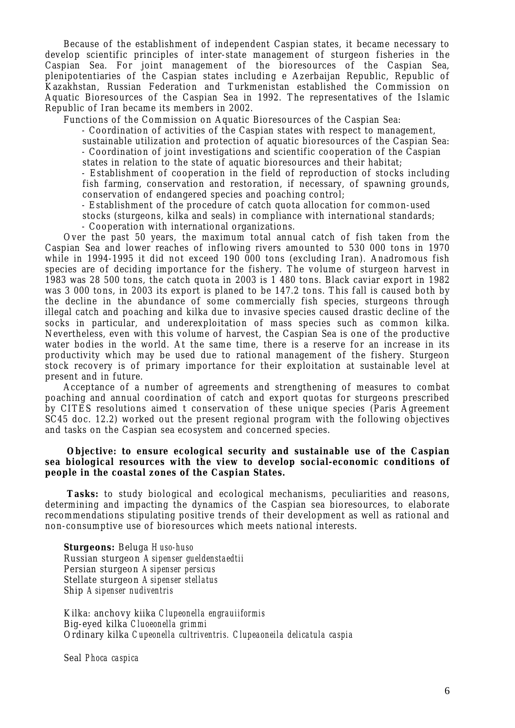Because of the establishment of independent Caspian states, it became necessary to develop scientific principles of inter-state management of sturgeon fisheries in the Caspian Sea. For joint management of the bioresources of the Caspian Sea, plenipotentiaries of the Caspian states including e Azerbaijan Republic, Republic of Kazakhstan, Russian Federation and Turkmenistan established the Commission on Aquatic Bioresources of the Caspian Sea in 1992. The representatives of the Islamic Republic of Iran became its members in 2002.

Functions of the Commission on Aquatic Bioresources of the Caspian Sea:

- Coordination of activities of the Caspian states with respect to management, sustainable utilization and protection of aquatic bioresources of the Caspian Sea: - Coordination of joint investigations and scientific cooperation of the Caspian states in relation to the state of aquatic bioresources and their habitat;

- Establishment of cooperation in the field of reproduction of stocks including fish farming, conservation and restoration, if necessary, of spawning grounds, conservation of endangered species and poaching control;

- Establishment of the procedure of catch quota allocation for common-used

stocks (sturgeons, kilka and seals) in compliance with international standards;

- Cooperation with international organizations.

Over the past 50 years, the maximum total annual catch of fish taken from the Caspian Sea and lower reaches of inflowing rivers amounted to 530 000 tons in 1970 while in 1994-1995 it did not exceed 190 000 tons (excluding Iran). Anadromous fish species are of deciding importance for the fishery. The volume of sturgeon harvest in 1983 was 28 500 tons, the catch quota in 2003 is 1 480 tons. Black caviar export in 1982 was 3 000 tons, in 2003 its export is planed to be 147.2 tons. This fall is caused both by the decline in the abundance of some commercially fish species, sturgeons through illegal catch and poaching and kilka due to invasive species caused drastic decline of the socks in particular, and underexploitation of mass species such as common kilka. Nevertheless, even with this volume of harvest, the Caspian Sea is one of the productive water bodies in the world. At the same time, there is a reserve for an increase in its productivity which may be used due to rational management of the fishery. Sturgeon stock recovery is of primary importance for their exploitation at sustainable level at present and in future.

Acceptance of a number of agreements and strengthening of measures to combat poaching and annual coordination of catch and export quotas for sturgeons prescribed by CITES resolutions aimed t conservation of these unique species (Paris Agreement SC45 doc. 12.2) worked out the present regional program with the following objectives and tasks on the Caspian sea ecosystem and concerned species.

#### **Objective: to ensure ecological security and sustainable use of the Caspian sea biological resources with the view to develop social-economic conditions of people in the coastal zones of the Caspian States.**

**Tasks:** to study biological and ecological mechanisms, peculiarities and reasons, determining and impacting the dynamics of the Caspian sea bioresources, to elaborate recommendations stipulating positive trends of their development as well as rational and non-consumptive use of bioresources which meets national interests.

**Sturgeons:** Beluga *Huso-huso*  Russian sturgeon *Asipenser gueldenstaedtii*  Persian sturgeon *Asipenser persicus*  Stellate sturgeon *Asipenser stellatus*  Ship *Asipenser nudiventris* 

Kilka: anchovy kiika *Clupeonella engrauiiformis*  Big-eyed kilka *Cluoeonella grimmi* Ordinary kilka *Cupeonella cultriventris. Clupeaoneila delicatula caspia* 

Seal *Phoca caspica*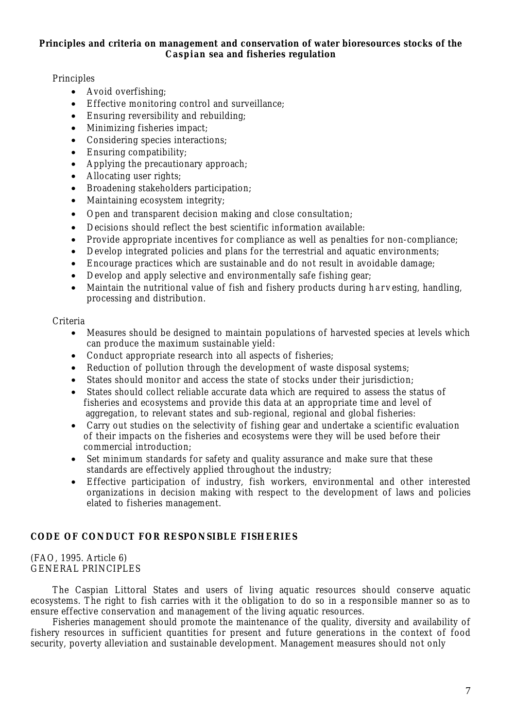# **Principles and criteria on management and conservation of water bioresources stocks of the Caspian sea and fisheries regulation**

# Principles

- Avoid overfishing;
- Effective monitoring control and surveillance;
- Ensuring reversibility and rebuilding;
- Minimizing fisheries impact;
- Considering species interactions;
- Ensuring compatibility;
- Applying the precautionary approach;
- Allocating user rights;
- Broadening stakeholders participation;
- Maintaining ecosystem integrity;
- Open and transparent decision making and close consultation;
- Decisions should reflect the best scientific information available:
- Provide appropriate incentives for compliance as well as penalties for non-compliance;
- Develop integrated policies and plans for the terrestrial and aquatic environments;
- Encourage practices which are sustainable and do not result in avoidable damage;
- Develop and apply selective and environmentally safe fishing gear;
- Maintain the nutritional value of fish and fishery products during harvesting, handling, processing and distribution.

## Criteria

- Measures should be designed to maintain populations of harvested species at levels which can produce the maximum sustainable yield:
- Conduct appropriate research into all aspects of fisheries;
- Reduction of pollution through the development of waste disposal systems;
- States should monitor and access the state of stocks under their jurisdiction;
- States should collect reliable accurate data which are required to assess the status of fisheries and ecosystems and provide this data at an appropriate time and level of aggregation, to relevant states and sub-regional, regional and global fisheries:
- Carry out studies on the selectivity of fishing gear and undertake a scientific evaluation of their impacts on the fisheries and ecosystems were they will be used before their commercial introduction;
- Set minimum standards for safety and quality assurance and make sure that these standards are effectively applied throughout the industry;
- Effective participation of industry, fish workers, environmental and other interested organizations in decision making with respect to the development of laws and policies elated to fisheries management.

# **CODE OF CONDUCT FOR RESPONSIBLE FISHERIES**

## (FAO, 1995. Article 6) GENERAL PRINCIPLES

The Caspian Littoral States and users of living aquatic resources should conserve aquatic ecosystems. The right to fish carries with it the obligation to do so in a responsible manner so as to ensure effective conservation and management of the living aquatic resources.

Fisheries management should promote the maintenance of the quality, diversity and availability of fishery resources in sufficient quantities for present and future generations in the context of food security, poverty alleviation and sustainable development. Management measures should not only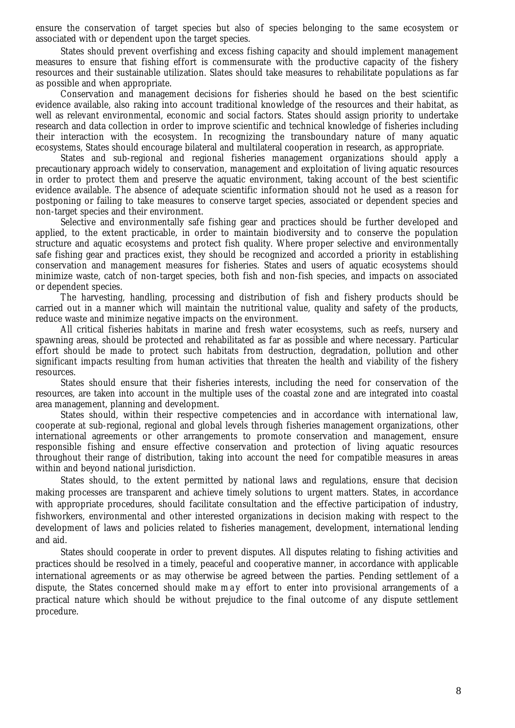ensure the conservation of target species but also of species belonging to the same ecosystem or associated with or dependent upon the target species.

States should prevent overfishing and excess fishing capacity and should implement management measures to ensure that fishing effort is commensurate with the productive capacity of the fishery resources and their sustainable utilization. Slates should take measures to rehabilitate populations as far as possible and when appropriate.

Conservation and management decisions for fisheries should he based on the best scientific evidence available, also raking into account traditional knowledge of the resources and their habitat, as well as relevant environmental, economic and social factors. States should assign priority to undertake research and data collection in order to improve scientific and technical knowledge of fisheries including their interaction with the ecosystem. In recognizing the transboundary nature of many aquatic ecosystems, States should encourage bilateral and multilateral cooperation in research, as appropriate.

States and sub-regional and regional fisheries management organizations should apply a precautionary approach widely to conservation, management and exploitation of living aquatic resources in order to protect them and preserve the aquatic environment, taking account of the best scientific evidence available. The absence of adequate scientific information should not he used as a reason for postponing or failing to take measures to conserve target species, associated or dependent species and non-target species and their environment.

Selective and environmentally safe fishing gear and practices should be further developed and applied, to the extent practicable, in order to maintain biodiversity and to conserve the population structure and aquatic ecosystems and protect fish quality. Where proper selective and environmentally safe fishing gear and practices exist, they should be recognized and accorded a priority in establishing conservation and management measures for fisheries. States and users of aquatic ecosystems should minimize waste, catch of non-target species, both fish and non-fish species, and impacts on associated or dependent species.

The harvesting, handling, processing and distribution of fish and fishery products should be carried out in a manner which will maintain the nutritional value, quality and safety of the products, reduce waste and minimize negative impacts on the environment.

All critical fisheries habitats in marine and fresh water ecosystems, such as reefs, nursery and spawning areas, should be protected and rehabilitated as far as possible and where necessary. Particular effort should be made to protect such habitats from destruction, degradation, pollution and other significant impacts resulting from human activities that threaten the health and viability of the fishery resources.

States should ensure that their fisheries interests, including the need for conservation of the resources, are taken into account in the multiple uses of the coastal zone and are integrated into coastal area management, planning and development.

States should, within their respective competencies and in accordance with international law, cooperate at sub-regional, regional and global levels through fisheries management organizations, other international agreements or other arrangements to promote conservation and management, ensure responsible fishing and ensure effective conservation and protection of living aquatic resources throughout their range of distribution, taking into account the need for compatible measures in areas within and beyond national jurisdiction.

States should, to the extent permitted by national laws and regulations, ensure that decision making processes are transparent and achieve timely solutions to urgent matters. States, in accordance with appropriate procedures, should facilitate consultation and the effective participation of industry, fishworkers, environmental and other interested organizations in decision making with respect to the development of laws and policies related to fisheries management, development, international lending and aid.

States should cooperate in order to prevent disputes. All disputes relating to fishing activities and practices should be resolved in a timely, peaceful and cooperative manner, in accordance with applicable international agreements or as may otherwise be agreed between the parties. Pending settlement of a dispute, the States concerned should make may effort to enter into provisional arrangements of a practical nature which should be without prejudice to the final outcome of any dispute settlement procedure.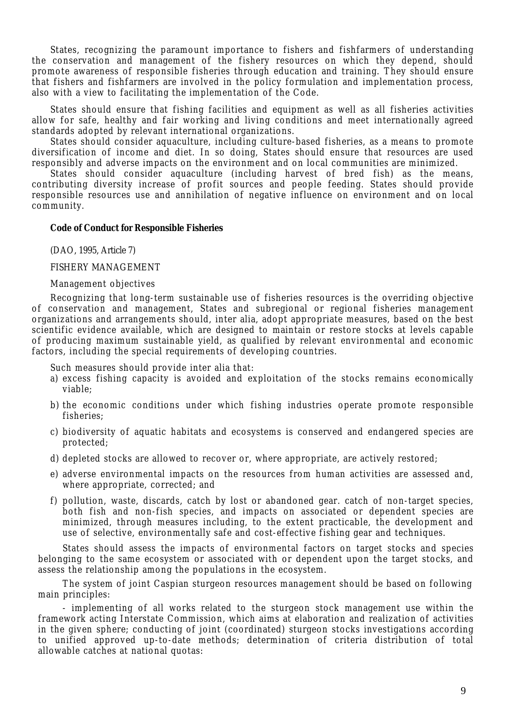States, recognizing the paramount importance to fishers and fishfarmers of understanding the conservation and management of the fishery resources on which they depend, should promote awareness of responsible fisheries through education and training. They should ensure that fishers and fishfarmers are involved in the policy formulation and implementation process, also with a view to facilitating the implementation of the Code.

States should ensure that fishing facilities and equipment as well as all fisheries activities allow for safe, healthy and fair working and living conditions and meet internationally agreed standards adopted by relevant international organizations.

States should consider aquaculture, including culture-based fisheries, as a means to promote diversification of income and diet. In so doing, States should ensure that resources are used responsibly and adverse impacts on the environment and on local communities are minimized.

States should consider aquaculture (including harvest of bred fish) as the means, contributing diversity increase of profit sources and people feeding. States should provide responsible resources use and annihilation of negative influence on environment and on local community.

#### **Code of Conduct for Responsible Fisheries**

(DAO, 1995, Article 7)

FISHERY MANAGEMENT

Management objectives

Recognizing that long-term sustainable use of fisheries resources is the overriding objective of conservation and management, States and subregional or regional fisheries management organizations and arrangements should, inter alia, adopt appropriate measures, based on the best scientific evidence available, which are designed to maintain or restore stocks at levels capable of producing maximum sustainable yield, as qualified by relevant environmental and economic factors, including the special requirements of developing countries.

Such measures should provide inter alia that:

- a) excess fishing capacity is avoided and exploitation of the stocks remains economically viable;
- b) the economic conditions under which fishing industries operate promote responsible fisheries;
- c) biodiversity of aquatic habitats and ecosystems is conserved and endangered species are protected;
- d) depleted stocks are allowed to recover or, where appropriate, are actively restored;
- e) adverse environmental impacts on the resources from human activities are assessed and, where appropriate, corrected; and
- f) pollution, waste, discards, catch by lost or abandoned gear. catch of non-target species, both fish and non-fish species, and impacts on associated or dependent species are minimized, through measures including, to the extent practicable, the development and use of selective, environmentally safe and cost-effective fishing gear and techniques.

States should assess the impacts of environmental factors on target stocks and species belonging to the same ecosystem or associated with or dependent upon the target stocks, and assess the relationship among the populations in the ecosystem.

The system of joint Caspian sturgeon resources management should be based on following main principles:

- implementing of all works related to the sturgeon stock management use within the framework acting Interstate Commission, which aims at elaboration and realization of activities in the given sphere; conducting of joint (coordinated) sturgeon stocks investigations according to unified approved up-to-date methods; determination of criteria distribution of total allowable catches at national quotas: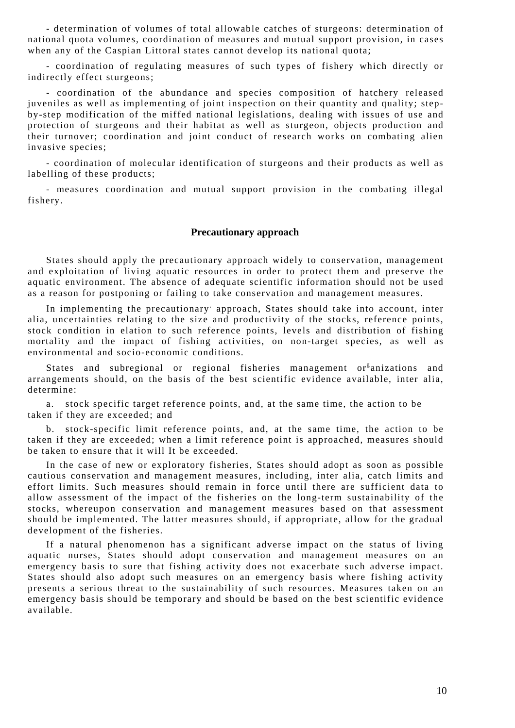- determination of volumes of total allowable catches of sturgeons: determination of national quota volumes, coordination of measures and mutual support provision, in cases when any of the Caspian Littoral states cannot develop its national quota;

- coordination of regulating measures of such types of fishery which directly or indirectly effect sturgeons;

- coordination of the abundance and species composition of hatchery released juveniles as well as implementing of joint inspection on their quantity and quality; stepby-step modification of the miffed national legislations, dealing with issues of use and protection of sturgeons and their habitat as well as sturgeon, objects production and their turnover; coordination and joint conduct of research works on combating alien invasive species;

- coordination of molecular identification of sturgeons and their products as well as labelling of these products;

- measures coordination and mutual support provision in the combating illegal fishery.

#### **Precautionary approach**

States should apply the precautionary approach widely to conservation, management and exploitation of living aquatic resources in order to protect them and preserve the aquatic environment. The absence of adequate scientific information should not be used as a reason for postponing or failing to take conservation and management measures.

In implementing the precautionary approach, States should take into account, inter alia, uncertainties relating to the size and productivity of the stocks, reference points, stock condition in elation to such reference points, levels and distribution of fishing mortality and the impact of fishing activities, on non-target species, as well as environmental and socio-economic conditions.

States and subregional or regional fisheries management or<sup>g</sup>anizations and arrangements should, on the basis of the best scientific evidence available, inter alia, determine:

a. stock specific target reference points, and, at the same time, the action to be taken if they are exceeded; and

b. stock-specific limit reference points, and, at the same time, the action to be taken if they are exceeded; when a limit reference point is approached, measures should be taken to ensure that it will It be exceeded.

In the case of new or exploratory fisheries, States should adopt as soon as possible cautious conservation and management measures, including, inter alia, catch limits and effort limits. Such measures should remain in force until there are sufficient data to allow assessment of the impact of the fisheries on the long-term sustainability of the stocks, whereupon conservation and management measures based on that assessment should be implemented. The latter measures should, if appropriate, allow for the gradual development of the fisheries.

If a natural phenomenon has a significant adverse impact on the status of living aquatic nurses, States should adopt conservation and management measures on an emergency basis to sure that fishing activity does not exacerbate such adverse impact. States should also adopt such measures on an emergency basis where fishing activity presents a serious threat to the sustainability of such resources. Measures taken on an emergency basis should be temporary and should be based on the best scientific evidence available.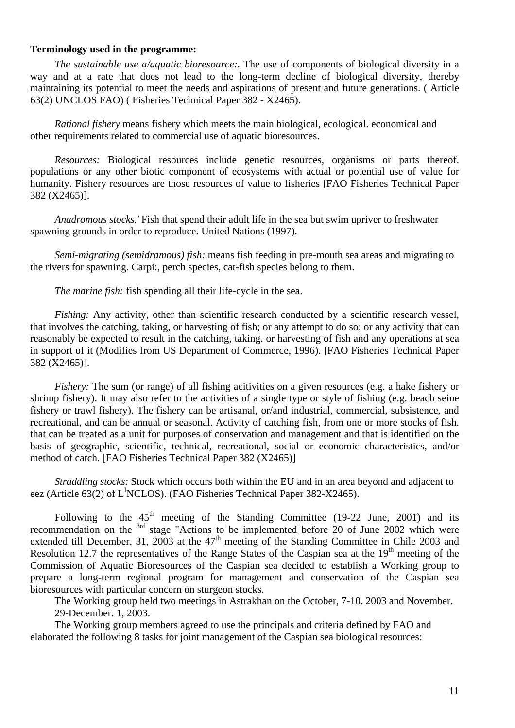#### **Terminology used in the programme:**

*The sustainable use a/aquatic bioresource:.* The use of components of biological diversity in a way and at a rate that does not lead to the long-term decline of biological diversity, thereby maintaining its potential to meet the needs and aspirations of present and future generations. ( Article 63(2) UNCLOS FAO) ( Fisheries Technical Paper 382 - X2465).

*Rational fishery* means fishery which meets the main biological, ecological. economical and other requirements related to commercial use of aquatic bioresources.

*Resources:* Biological resources include genetic resources, organisms or parts thereof. populations or any other biotic component of ecosystems with actual or potential use of value for humanity. Fishery resources are those resources of value to fisheries [FAO Fisheries Technical Paper 382 (X2465)].

*Anadromous stocks.'* Fish that spend their adult life in the sea but swim upriver to freshwater spawning grounds in order to reproduce. United Nations (1997).

*Semi-migrating (semidramous) fish:* means fish feeding in pre-mouth sea areas and migrating to the rivers for spawning. Carpi:, perch species, cat-fish species belong to them.

*The marine fish:* fish spending all their life-cycle in the sea.

*Fishing:* Any activity, other than scientific research conducted by a scientific research vessel, that involves the catching, taking, or harvesting of fish; or any attempt to do so; or any activity that can reasonably be expected to result in the catching, taking. or harvesting of fish and any operations at sea in support of it (Modifies from US Department of Commerce, 1996). [FAO Fisheries Technical Paper 382 (X2465)].

*Fishery:* The sum (or range) of all fishing acitivities on a given resources (e.g. a hake fishery or shrimp fishery). It may also refer to the activities of a single type or style of fishing (e.g. beach seine fishery or trawl fishery). The fishery can be artisanal, or/and industrial, commercial, subsistence, and recreational, and can be annual or seasonal. Activity of catching fish, from one or more stocks of fish. that can be treated as a unit for purposes of conservation and management and that is identified on the basis of geographic, scientific, technical, recreational, social or economic characteristics, and/or method of catch. [FAO Fisheries Technical Paper 382 (X2465)]

*Straddling stocks:* Stock which occurs both within the EU and in an area beyond and adjacent to eez (Article  $63(2)$  of L<sup>I</sup>NCLOS). (FAO Fisheries Technical Paper 382-X2465).

Following to the  $45<sup>th</sup>$  meeting of the Standing Committee (19-22 June, 2001) and its recommendation on the <sup>3rd</sup> stage "Actions to be implemented before 20 of June 2002 which were extended till December, 31, 2003 at the  $47<sup>th</sup>$  meeting of the Standing Committee in Chile 2003 and Resolution 12.7 the representatives of the Range States of the Caspian sea at the  $19<sup>th</sup>$  meeting of the Commission of Aquatic Bioresources of the Caspian sea decided to establish a Working group to prepare a long-term regional program for management and conservation of the Caspian sea bioresources with particular concern on sturgeon stocks.

The Working group held two meetings in Astrakhan on the October, 7-10. 2003 and November. 29-December. 1, 2003.

The Working group members agreed to use the principals and criteria defined by FAO and elaborated the following 8 tasks for joint management of the Caspian sea biological resources: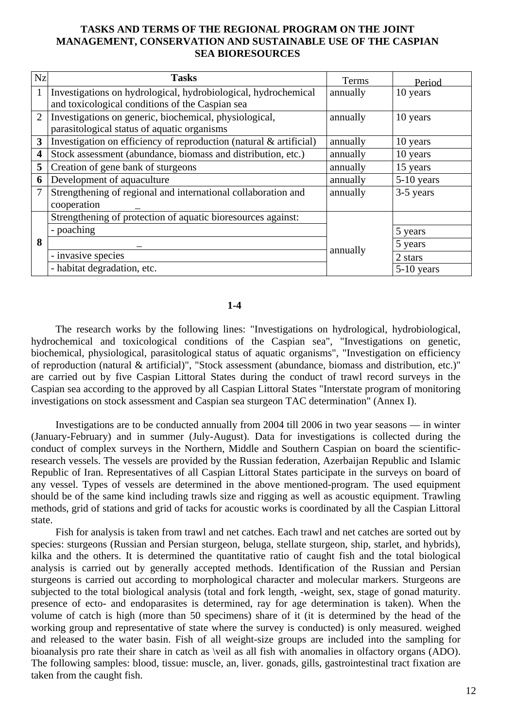# **TASKS AND TERMS OF THE REGIONAL PROGRAM ON THE JOINT MANAGEMENT, CONSERVATION AND SUSTAINABLE USE OF THE CASPIAN SEA BIORESOURCES**

| Nz                      | <b>Tasks</b>                                                                                                      | Terms    | Period       |
|-------------------------|-------------------------------------------------------------------------------------------------------------------|----------|--------------|
| $\mathbf{1}$            | Investigations on hydrological, hydrobiological, hydrochemical<br>and toxicological conditions of the Caspian sea | annually | 10 years     |
| $\overline{2}$          | Investigations on generic, biochemical, physiological,<br>parasitological status of aquatic organisms             | annually | 10 years     |
| 3                       | Investigation on efficiency of reproduction (natural & artificial)                                                | annually | 10 years     |
| $\overline{\mathbf{4}}$ | Stock assessment (abundance, biomass and distribution, etc.)                                                      | annually | 10 years     |
| 5                       | Creation of gene bank of sturgeons                                                                                | annually | 15 years     |
| 6                       | Development of aquaculture                                                                                        | annually | $5-10$ years |
|                         | Strengthening of regional and international collaboration and<br>cooperation                                      | annually | 3-5 years    |
|                         | Strengthening of protection of aquatic bioresources against:                                                      |          |              |
|                         | - poaching                                                                                                        |          | 5 years      |
| 8                       |                                                                                                                   | annually | 5 years      |
|                         | - invasive species                                                                                                |          | 2 stars      |
|                         | - habitat degradation, etc.                                                                                       |          | $5-10$ years |

#### **1-4**

The research works by the following lines: "Investigations on hydrological, hydrobiological, hydrochemical and toxicological conditions of the Caspian sea", "Investigations on genetic, biochemical, physiological, parasitological status of aquatic organisms", "Investigation on efficiency of reproduction (natural & artificial)", "Stock assessment (abundance, biomass and distribution, etc.)" are carried out by five Caspian Littoral States during the conduct of trawl record surveys in the Caspian sea according to the approved by all Caspian Littoral States "Interstate program of monitoring investigations on stock assessment and Caspian sea sturgeon TAC determination" (Annex I).

Investigations are to be conducted annually from 2004 till 2006 in two year seasons — in winter (January-February) and in summer (July-August). Data for investigations is collected during the conduct of complex surveys in the Northern, Middle and Southern Caspian on board the scientificresearch vessels. The vessels are provided by the Russian federation, Azerbaijan Republic and Islamic Republic of Iran. Representatives of all Caspian Littoral States participate in the surveys on board of any vessel. Types of vessels are determined in the above mentioned-program. The used equipment should be of the same kind including trawls size and rigging as well as acoustic equipment. Trawling methods, grid of stations and grid of tacks for acoustic works is coordinated by all the Caspian Littoral state.

Fish for analysis is taken from trawl and net catches. Each trawl and net catches are sorted out by species: sturgeons (Russian and Persian sturgeon, beluga, stellate sturgeon, ship, starlet, and hybrids), kilka and the others. It is determined the quantitative ratio of caught fish and the total biological analysis is carried out by generally accepted methods. Identification of the Russian and Persian sturgeons is carried out according to morphological character and molecular markers. Sturgeons are subjected to the total biological analysis (total and fork length, -weight, sex, stage of gonad maturity. presence of ecto- and endoparasites is determined, ray for age determination is taken). When the volume of catch is high (more than 50 specimens) share of it (it is determined by the head of the working group and representative of state where the survey is conducted) is only measured. weighed and released to the water basin. Fish of all weight-size groups are included into the sampling for bioanalysis pro rate their share in catch as \veil as all fish with anomalies in olfactory organs (ADO). The following samples: blood, tissue: muscle, an, liver. gonads, gills, gastrointestinal tract fixation are taken from the caught fish.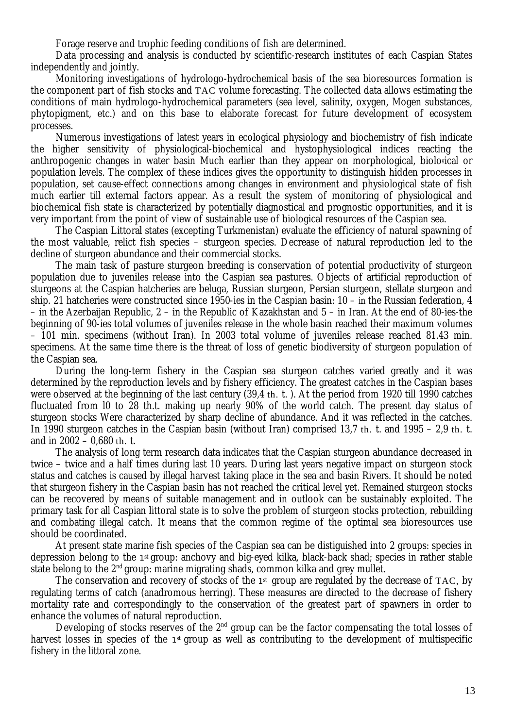Forage reserve and trophic feeding conditions of fish are determined.

Data processing and analysis is conducted by scientific-research institutes of each Caspian States independently and jointly.

Monitoring investigations of hydrologo-hydrochemical basis of the sea bioresources formation is the component part of fish stocks and TAC volume forecasting. The collected data allows estimating the conditions of main hydrologo-hydrochemical parameters (sea level, salinity, oxygen, Mogen substances, phytopigment, etc.) and on this base to elaborate forecast for future development of ecosystem processes.

Numerous investigations of latest years in ecological physiology and biochemistry of fish indicate the higher sensitivity of physiological-biochemical and hystophysiological indices reacting the anthropogenic changes in water basin Much earlier than they appear on morphological, biological or population levels. The complex of these indices gives the opportunity to distinguish hidden processes in population, set cause-effect connections among changes in environment and physiological state of fish much earlier till external factors appear. As a result the system of monitoring of physiological and biochemical fish state is characterized by potentially diagnostical and prognostic opportunities, and it is very important from the point of view of sustainable use of biological resources of the Caspian sea.

The Caspian Littoral states (excepting Turkmenistan) evaluate the efficiency of natural spawning of the most valuable, relict fish species – sturgeon species. Decrease of natural reproduction led to the decline of sturgeon abundance and their commercial stocks.

The main task of pasture sturgeon breeding is conservation of potential productivity of sturgeon population due to juveniles release into the Caspian sea pastures. Objects of artificial reproduction of sturgeons at the Caspian hatcheries are beluga, Russian sturgeon, Persian sturgeon, stellate sturgeon and ship. 21 hatcheries were constructed since 1950-ies in the Caspian basin:  $10 - in$  the Russian federation, 4 – in the Azerbaijan Republic, 2 – in the Republic of Kazakhstan and 5 – in Iran. At the end of 80-ies-the beginning of 90-ies total volumes of juveniles release in the whole basin reached their maximum volumes – 101 min. specimens (without Iran). In 2003 total volume of juveniles release reached 81.43 min. specimens. At the same time there is the threat of loss of genetic biodiversity of sturgeon population of the Caspian sea.

During the long-term fishery in the Caspian sea sturgeon catches varied greatly and it was determined by the reproduction levels and by fishery efficiency. The greatest catches in the Caspian bases were observed at the beginning of the last century (39,4 th. t. ). At the period from 1920 till 1990 catches fluctuated from l0 to 28 th.t. making up nearly 90% of the world catch. The present day status of sturgeon stocks Were characterized by sharp decline of abundance. And it was reflected in the catches. In 1990 sturgeon catches in the Caspian basin (without Iran) comprised 13,7 th. t. and 1995 – 2,9 th. t. and in 2002 – 0,680 th. t.

The analysis of long term research data indicates that the Caspian sturgeon abundance decreased in twice – twice and a half times during last 10 years. During last years negative impact on sturgeon stock status and catches is caused by illegal harvest taking place in the sea and basin Rivers. It should be noted that sturgeon fishery in the Caspian basin has not reached the critical level yet. Remained sturgeon stocks can be recovered by means of suitable management and in outlook can be sustainably exploited. The primary task for all Caspian littoral state is to solve the problem of sturgeon stocks protection, rebuilding and combating illegal catch. It means that the common regime of the optimal sea bioresources use should be coordinated.

At present state marine fish species of the Caspian sea can be distiguished into 2 groups: species in depression belong to the 1st group: anchovy and big-eyed kilka, black-back shad; species in rather stable state belong to the 2<sup>nd</sup> group: marine migrating shads, common kilka and grey mullet.

The conservation and recovery of stocks of the 1st group are regulated by the decrease of TAC, by regulating terms of catch (anadromous herring). These measures are directed to the decrease of fishery mortality rate and correspondingly to the conservation of the greatest part of spawners in order to enhance the volumes of natural reproduction.

Developing of stocks reserves of the  $2<sup>nd</sup>$  group can be the factor compensating the total losses of harvest losses in species of the 1<sup>st</sup> group as well as contributing to the development of multispecific fishery in the littoral zone.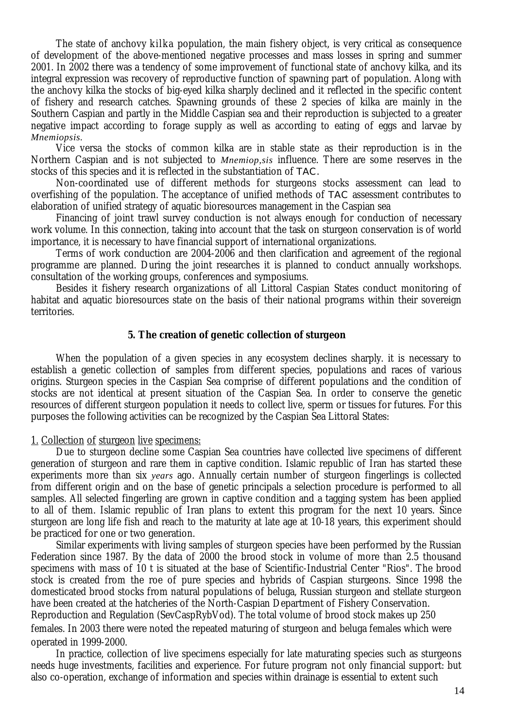The state of anchovy kilka population, the main fishery object, is very critical as consequence of development of the above-mentioned negative processes and mass losses in spring and summer 2001. In 2002 there was a tendency of some improvement of functional state of anchovy kilka, and its integral expression was recovery of reproductive function of spawning part of population. Along with the anchovy kilka the stocks of big-eyed kilka sharply declined and it reflected in the specific content of fishery and research catches. Spawning grounds of these 2 species of kilka are mainly in the Southern Caspian and partly in the Middle Caspian sea and their reproduction is subjected to a greater negative impact according to forage supply as well as according to eating of eggs and larvae by *Mnemiopsis.* 

Vice versa the stocks of common kilka are in stable state as their reproduction is in the Northern Caspian and is not subjected to *Mnemiop,sis* influence. There are some reserves in the stocks of this species and it is reflected in the substantiation of TAC.

Non-coordinated use of different methods for sturgeons stocks assessment can lead to overfishing of the population. The acceptance of unified methods of TAC assessment contributes to elaboration of unified strategy of aquatic bioresources management in the Caspian sea

Financing of joint trawl survey conduction is not always enough for conduction of necessary work volume. In this connection, taking into account that the task on sturgeon conservation is of world importance, it is necessary to have financial support of international organizations.

Terms of work conduction are 2004-2006 and then clarification and agreement of the regional programme are planned. During the joint researches it is planned to conduct annually workshops. consultation of the working groups, conferences and symposiums.

Besides it fishery research organizations of all Littoral Caspian States conduct monitoring of habitat and aquatic bioresources state on the basis of their national programs within their sovereign territories.

#### **5. The creation of genetic collection of sturgeon**

When the population of a given species in any ecosystem declines sharply. it is necessary to establish a genetic collection of samples from different species, populations and races of various origins. Sturgeon species in the Caspian Sea comprise of different populations and the condition of stocks are not identical at present situation of the Caspian Sea. In order to conserve the genetic resources of different sturgeon population it needs to collect live, sperm or tissues for futures. For this purposes the following activities can be recognized by the Caspian Sea Littoral States:

#### 1. Collection of sturgeon live specimens:

Due to sturgeon decline some Caspian Sea countries have collected live specimens of different generation of sturgeon and rare them in captive condition. Islamic republic of Iran has started these experiments more than six *years* ago. Annually certain number of sturgeon fingerlings is collected from different origin and on the base of genetic principals a selection procedure is performed to all samples. All selected fingerling are grown in captive condition and a tagging system has been applied to all of them. Islamic republic of Iran plans to extent this program for the next 10 years. Since sturgeon are long life fish and reach to the maturity at late age at 10-18 years, this experiment should be practiced for one or two generation.

Similar experiments with living samples of sturgeon species have been performed by the Russian Federation since 1987. By the data of 2000 the brood stock in volume of more than 2.5 thousand specimens with mass of 10 t is situated at the base of Scientific-Industrial Center "Rios". The brood stock is created from the roe of pure species and hybrids of Caspian sturgeons. Since 1998 the domesticated brood stocks from natural populations of beluga, Russian sturgeon and stellate sturgeon have been created at the hatcheries of the North-Caspian Department of Fishery Conservation. Reproduction and Regulation (SevCaspRybVod). The total volume of brood stock makes up 250 females. In 2003 there were noted the repeated maturing of sturgeon and beluga females which were operated in 1999-2000.

In practice, collection of live specimens especially for late maturating species such as sturgeons needs huge investments, facilities and experience. For future program not only financial support: but also co-operation, exchange of information and species within drainage is essential to extent such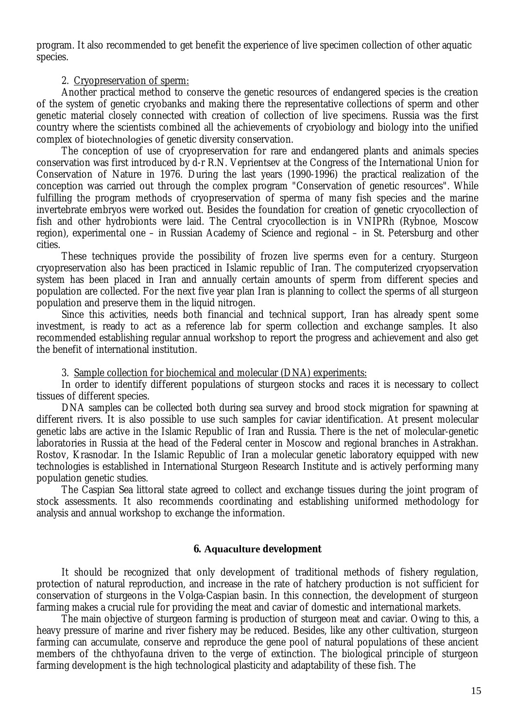program. It also recommended to get benefit the experience of live specimen collection of other aquatic species.

# 2. Cryopreservation of sperm:

Another practical method to conserve the genetic resources of endangered species is the creation of the system of genetic cryobanks and making there the representative collections of sperm and other genetic material closely connected with creation of collection of live specimens. Russia was the first country where the scientists combined all the achievements of cryobiology and biology into the unified complex of biotechnologies of genetic diversity conservation.

The conception of use of cryopreservation for rare and endangered plants and animals species conservation was first introduced by d-r R.N. Veprientsev at the Congress of the International Union for Conservation of Nature in 1976. During the last years (1990-1996) the practical realization of the conception was carried out through the complex program "Conservation of genetic resources". While fulfilling the program methods of cryopreservation of sperma of many fish species and the marine invertebrate embryos were worked out. Besides the foundation for creation of genetic cryocollection of fish and other hydrobionts were laid. The Central cryocollection is in VNIPRh (Rybnoe, Moscow region), experimental one – in Russian Academy of Science and regional – in St. Petersburg and other cities.

These techniques provide the possibility of frozen live sperms even for a century. Sturgeon cryopreservation also has been practiced in Islamic republic of Iran. The computerized cryopservation system has been placed in Iran and annually certain amounts of sperm from different species and population are collected. For the next five year plan Iran is planning to collect the sperms of all sturgeon population and preserve them in the liquid nitrogen.

Since this activities, needs both financial and technical support, Iran has already spent some investment, is ready to act as a reference lab for sperm collection and exchange samples. It also recommended establishing regular annual workshop to report the progress and achievement and also get the benefit of international institution.

## 3. Sample collection for biochemical and molecular (DNA) experiments:

In order to identify different populations of sturgeon stocks and races it is necessary to collect tissues of different species.

DNA samples can be collected both during sea survey and brood stock migration for spawning at different rivers. It is also possible to use such samples for caviar identification. At present molecular genetic labs are active in the Islamic Republic of Iran and Russia. There is the net of molecular-genetic laboratories in Russia at the head of the Federal center in Moscow and regional branches in Astrakhan. Rostov, Krasnodar. In the Islamic Republic of Iran a molecular genetic laboratory equipped with new technologies is established in International Sturgeon Research Institute and is actively performing many population genetic studies.

The Caspian Sea littoral state agreed to collect and exchange tissues during the joint program of stock assessments. It also recommends coordinating and establishing uniformed methodology for analysis and annual workshop to exchange the information.

#### **6. Aquaculture development**

It should be recognized that only development of traditional methods of fishery regulation, protection of natural reproduction, and increase in the rate of hatchery production is not sufficient for conservation of sturgeons in the Volga-Caspian basin. In this connection, the development of sturgeon farming makes a crucial rule for providing the meat and caviar of domestic and international markets.

The main objective of sturgeon farming is production of sturgeon meat and caviar. Owing to this, a heavy pressure of marine and river fishery may be reduced. Besides, like any other cultivation, sturgeon farming can accumulate, conserve and reproduce the gene pool of natural populations of these ancient members of the chthyofauna driven to the verge of extinction. The biological principle of sturgeon farming development is the high technological plasticity and adaptability of these fish. The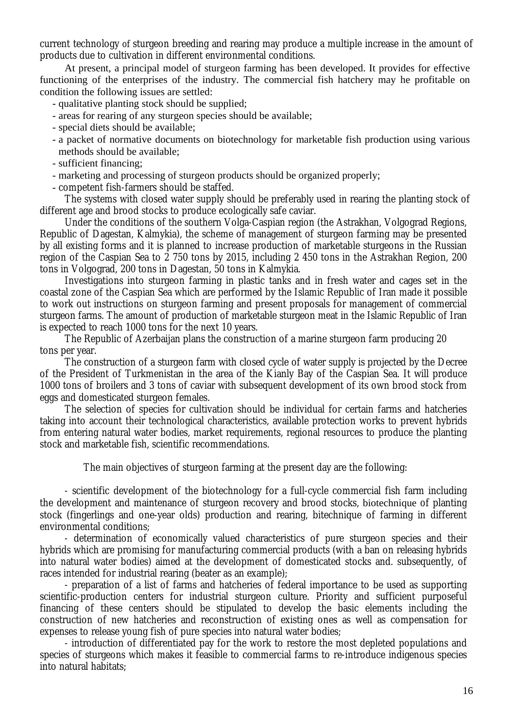current technology of sturgeon breeding and rearing may produce a multiple increase in the amount of products due to cultivation in different environmental conditions.

At present, a principal model of sturgeon farming has been developed. It provides for effective functioning of the enterprises of the industry. The commercial fish hatchery may he profitable on condition the following issues are settled:

- qualitative planting stock should be supplied;

- areas for rearing of any sturgeon species should be available;
- special diets should be available;
- a packet of normative documents on biotechnology for marketable fish production using various methods should be available;
- sufficient financing;
- marketing and processing of sturgeon products should be organized properly;
- competent fish-farmers should be staffed.

The systems with closed water supply should be preferably used in rearing the planting stock of different age and brood stocks to produce ecologically safe caviar.

Under the conditions of the southern Volga-Caspian region (the Astrakhan, Volgograd Regions, Republic of Dagestan, Kalmykia), the scheme of management of sturgeon farming may be presented by all existing forms and it is planned to increase production of marketable sturgeons in the Russian region of the Caspian Sea to 2 750 tons by 2015, including 2 450 tons in the Astrakhan Region, 200 tons in Volgograd, 200 tons in Dagestan, 50 tons in Kalmykia.

Investigations into sturgeon farming in plastic tanks and in fresh water and cages set in the coastal zone of the Caspian Sea which are performed by the Islamic Republic of Iran made it possible to work out instructions on sturgeon farming and present proposals for management of commercial sturgeon farms. The amount of production of marketable sturgeon meat in the Islamic Republic of Iran is expected to reach 1000 tons for the next 10 years.

The Republic of Azerbaijan plans the construction of a marine sturgeon farm producing 20 tons per year.

The construction of a sturgeon farm with closed cycle of water supply is projected by the Decree of the President of Turkmenistan in the area of the Kianly Bay of the Caspian Sea. It will produce 1000 tons of broilers and 3 tons of caviar with subsequent development of its own brood stock from eggs and domesticated sturgeon females.

The selection of species for cultivation should be individual for certain farms and hatcheries taking into account their technological characteristics, available protection works to prevent hybrids from entering natural water bodies, market requirements, regional resources to produce the planting stock and marketable fish, scientific recommendations.

The main objectives of sturgeon farming at the present day are the following:

- scientific development of the biotechnology for a full-cycle commercial fish farm including the development and maintenance of sturgeon recovery and brood stocks, biotechnique of planting stock (fingerlings and one-year olds) production and rearing, bitechnique of farming in different environmental conditions;

- determination of economically valued characteristics of pure sturgeon species and their hybrids which are promising for manufacturing commercial products (with a ban on releasing hybrids into natural water bodies) aimed at the development of domesticated stocks and. subsequently, of races intended for industrial rearing (beater as an example);

- preparation of a list of farms and hatcheries of federal importance to be used as supporting scientific-production centers for industrial sturgeon culture. Priority and sufficient purposeful financing of these centers should be stipulated to develop the basic elements including the construction of new hatcheries and reconstruction of existing ones as well as compensation for expenses to release young fish of pure species into natural water bodies;

- introduction of differentiated pay for the work to restore the most depleted populations and species of sturgeons which makes it feasible to commercial farms to re-introduce indigenous species into natural habitats;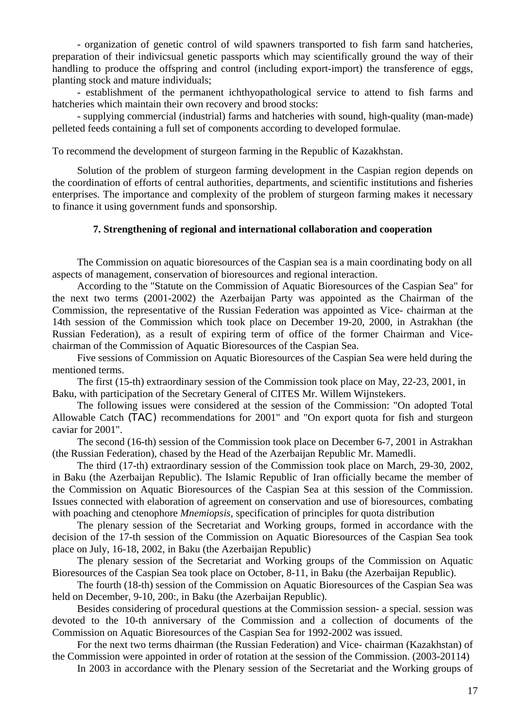- organization of genetic control of wild spawners transported to fish farm sand hatcheries, preparation of their indivicsual genetic passports which may scientifically ground the way of their handling to produce the offspring and control (including export-import) the transference of eggs, planting stock and mature individuals;

- establishment of the permanent ichthyopathological service to attend to fish farms and hatcheries which maintain their own recovery and brood stocks:

- supplying commercial (industrial) farms and hatcheries with sound, high-quality (man-made) pelleted feeds containing a full set of components according to developed formulae.

To recommend the development of sturgeon farming in the Republic of Kazakhstan.

Solution of the problem of sturgeon farming development in the Caspian region depends on the coordination of efforts of central authorities, departments, and scientific institutions and fisheries enterprises. The importance and complexity of the problem of sturgeon farming makes it necessary to finance it using government funds and sponsorship.

#### **7. Strengthening of regional and international collaboration and cooperation**

The Commission on aquatic bioresources of the Caspian sea is a main coordinating body on all aspects of management, conservation of bioresources and regional interaction.

According to the "Statute on the Commission of Aquatic Bioresources of the Caspian Sea" for the next two terms (2001-2002) the Azerbaijan Party was appointed as the Chairman of the Commission, the representative of the Russian Federation was appointed as Vice- chairman at the 14th session of the Commission which took place on December 19-20, 2000, in Astrakhan (the Russian Federation), as a result of expiring term of office of the former Chairman and Vicechairman of the Commission of Aquatic Bioresources of the Caspian Sea.

Five sessions of Commission on Aquatic Bioresources of the Caspian Sea were held during the mentioned terms.

The first (15-th) extraordinary session of the Commission took place on May, 22-23, 2001, in Baku, with participation of the Secretary General of CITES Mr. Willem Wijnstekers.

The following issues were considered at the session of the Commission: "On adopted Total Allowable Catch (TAC) recommendations for 2001" and "On export quota for fish and sturgeon caviar for 2001".

The second (16-th) session of the Commission took place on December 6-7, 2001 in Astrakhan (the Russian Federation), chased by the Head of the Azerbaijan Republic Mr. Mamedli.

The third (17-th) extraordinary session of the Commission took place on March, 29-30, 2002, in Baku (the Azerbaijan Republic). The Islamic Republic of Iran officially became the member of the Commission on Aquatic Bioresources of the Caspian Sea at this session of the Commission. Issues connected with elaboration of agreement on conservation and use of bioresources, combating with poaching and ctenophore *Mnemiopsis,* specification of principles for quota distribution

The plenary session of the Secretariat and Working groups, formed in accordance with the decision of the 17-th session of the Commission on Aquatic Bioresources of the Caspian Sea took place on July, 16-18, 2002, in Baku (the Azerbaijan Republic)

The plenary session of the Secretariat and Working groups of the Commission on Aquatic Bioresources of the Caspian Sea took place on October, 8-11, in Baku (the Azerbaijan Republic).

The fourth (18-th) session of the Commission on Aquatic Bioresources of the Caspian Sea was held on December, 9-10, 200:, in Baku (the Azerbaijan Republic).

Besides considering of procedural questions at the Commission session- a special. session was devoted to the 10-th anniversary of the Commission and a collection of documents of the Commission on Aquatic Bioresources of the Caspian Sea for 1992-2002 was issued.

For the next two terms dhairman (the Russian Federation) and Vice- chairman (Kazakhstan) of the Commission were appointed in order of rotation at the session of the Commission. (2003-20114)

In 2003 in accordance with the Plenary session of the Secretariat and the Working groups of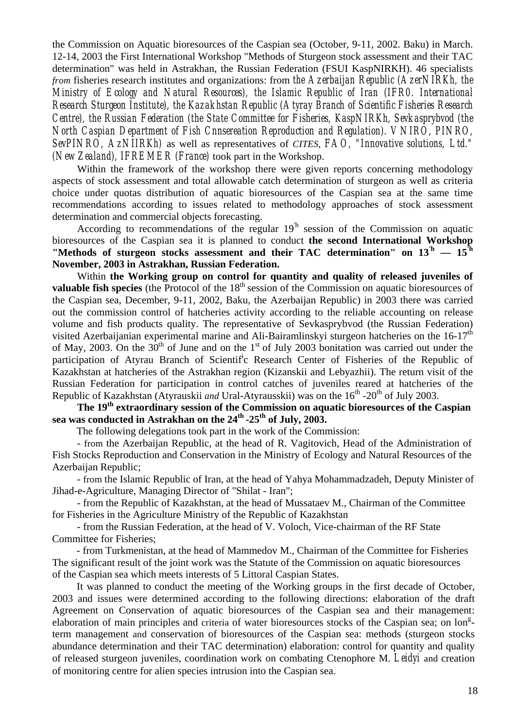the Commission on Aquatic bioresources of the Caspian sea (October, 9-11, 2002. Baku) in March. 12-14, 2003 the First International Workshop "Methods of Sturgeon stock assessment and their TAC determination" was held in Astrakhan, the Russian Federation (FSUI KaspNIRKH). 46 specialists *from* fisheries research institutes and organizations: from *the Azerbaijan Republic (AzerNIRKh, the Ministry of Ecology and Natural Resources), the Islamic Republic of Iran (IFR0. International Research Sturgeon Institute), the Kazakhstan Republic (Atyray Branch of Scientific Fisheries Research Centre), the Russian Federation (the State Committee for Fisheries, KaspNIRKh, Sevkasprybvod (the North Caspian Department of Fish Cnnsereation Reproduction and Regulation). VNIRO, PINRO, SevPINRO, AzNIIRKh)* as well as representatives of *CITES, FAO, "Innovative solutions, Ltd." (New Zealand), IFREMER (France)* took part in the Workshop.

Within the framework of the workshop there were given reports concerning methodology aspects of stock assessment and total allowable catch determination of sturgeon as well as criteria choice under quotas distribution of aquatic bioresources of the Caspian sea at the same time recommendations according to issues related to methodology approaches of stock assessment determination and commercial objects forecasting.

According to recommendations of the regular  $19<sup>h</sup>$  session of the Commission on aquatic bioresources of the Caspian sea it is planned to conduct **the second International Workshop "Methods of sturgeon stocks assessment and their TAC determination" on 13'h — 15'h November, 2003 in Astrakhan, Russian Federation.** 

Within **the Working group on control for quantity and quality of released juveniles of valuable fish species** (the Protocol of the 18<sup>th</sup> session of the Commission on aquatic bioresources of the Caspian sea, December, 9-11, 2002, Baku, the Azerbaijan Republic) in 2003 there was carried out the commission control of hatcheries activity according to the reliable accounting on release volume and fish products quality. The representative of Sevkasprybvod (the Russian Federation) visited Azerbaijanian experimental marine and Ali-Bairamlinskyi sturgeon hatcheries on the 16-17<sup>th</sup> of May, 2003. On the  $30<sup>th</sup>$  of June and on the 1<sup>st</sup> of July 2003 bonitation was carried out under the participation of Atyrau Branch of Scientif<sup>i</sup>c Research Center of Fisheries of the Republic of Kazakhstan at hatcheries of the Astrakhan region (Kizanskii and Lebyazhii). The return visit of the Russian Federation for participation in control catches of juveniles reared at hatcheries of the Republic of Kazakhstan (Atyrauskii *and* Ural-Atyrausskii) was on the 16<sup>th</sup> -20<sup>th</sup> of July 2003.

# **The 19th extraordinary session of the Commission on aquatic bioresources of the Caspian sea was conducted in Astrakhan on the 24th -25th of July, 2003.**

The following delegations took part in the work of the Commission:

- from the Azerbaijan Republic, at the head of R. Vagitovich, Head of the Administration of Fish Stocks Reproduction and Conservation in the Ministry of Ecology and Natural Resources of the Azerbaijan Republic;

- from the Islamic Republic of Iran, at the head of Yahya Mohammadzadeh, Deputy Minister of Jihad-e-Agriculture, Managing Director of "Shilat - Iran";

- from the Republic of Kazakhstan, at the head of Mussataev M., Chairman of the Committee for Fisheries in the Agriculture Ministry of the Republic of Kazakhstan

- from the Russian Federation, at the head of V. Voloch, Vice-chairman of the RF State Committee for Fisheries;

- from Turkmenistan, at the head of Mammedov M., Chairman of the Committee for Fisheries The significant result of the joint work was the Statute of the Commission on aquatic bioresources of the Caspian sea which meets interests of 5 Littoral Caspian States.

It was planned to conduct the meeting of the Working groups in the first decade of October, 2003 and issues were determined according to the following directions: elaboration of the draft Agreement on Conservation of aquatic bioresources of the Caspian sea and their management: elaboration of main principles and criteria of water bioresources stocks of the Caspian sea; on lon<sup>g</sup>term management and conservation of bioresources of the Caspian sea: methods (sturgeon stocks abundance determination and their TAC determination) elaboration: control for quantity and quality of released sturgeon juveniles, coordination work on combating Ctenophore M. *Leidyi* and creation of monitoring centre for alien species intrusion into the Caspian sea.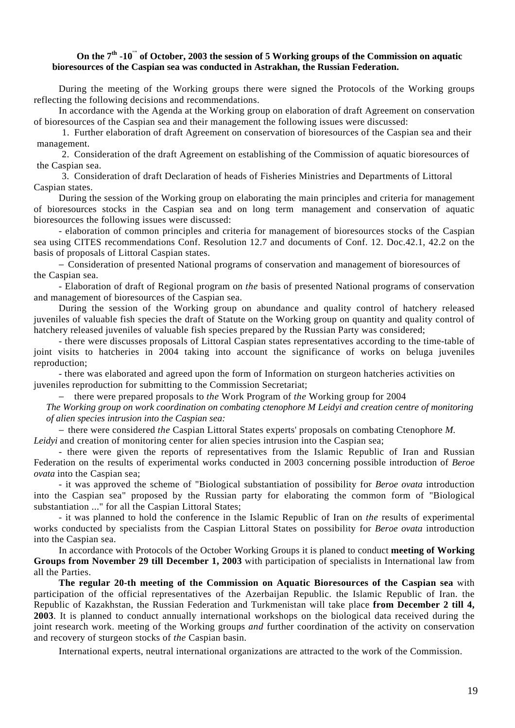# **On the 7th -10'" of October, 2003 the session of 5 Working groups of the Commission on aquatic bioresources of the Caspian sea was conducted in Astrakhan, the Russian Federation.**

During the meeting of the Working groups there were signed the Protocols of the Working groups reflecting the following decisions and recommendations.

In accordance with the Agenda at the Working group on elaboration of draft Agreement on conservation of bioresources of the Caspian sea and their management the following issues were discussed:

1. Further elaboration of draft Agreement on conservation of bioresources of the Caspian sea and their management.

2. Consideration of the draft Agreement on establishing of the Commission of aquatic bioresources of the Caspian sea.

3. Consideration of draft Declaration of heads of Fisheries Ministries and Departments of Littoral Caspian states.

During the session of the Working group on elaborating the main principles and criteria for management of bioresources stocks in the Caspian sea and on long term management and conservation of aquatic bioresources the following issues were discussed:

- elaboration of common principles and criteria for management of bioresources stocks of the Caspian sea using CITES recommendations Conf. Resolution 12.7 and documents of Conf. 12. Doc.42.1, 42.2 on the basis of proposals of Littoral Caspian states.

− Consideration of presented National programs of conservation and management of bioresources of the Caspian sea.

- Elaboration of draft of Regional program on *the* basis of presented National programs of conservation and management of bioresources of the Caspian sea.

During the session of the Working group on abundance and quality control of hatchery released juveniles of valuable fish species the draft of Statute on the Working group on quantity and quality control of hatchery released juveniles of valuable fish species prepared by the Russian Party was considered;

- there were discusses proposals of Littoral Caspian states representatives according to the time-table of joint visits to hatcheries in 2004 taking into account the significance of works on beluga juveniles reproduction;

- there was elaborated and agreed upon the form of Information on sturgeon hatcheries activities on juveniles reproduction for submitting to the Commission Secretariat;

− there were prepared proposals to *the* Work Program of *the* Working group for 2004

*The Working group on work coordination on combating ctenophore M Leidyi and creation centre of monitoring of alien species intrusion into the Caspian sea:* 

− there were considered *the* Caspian Littoral States experts' proposals on combating Ctenophore *M. Leidyi* and creation of monitoring center for alien species intrusion into the Caspian sea;

- there were given the reports of representatives from the Islamic Republic of Iran and Russian Federation on the results of experimental works conducted in 2003 concerning possible introduction of *Beroe ovata* into the Caspian sea;

- it was approved the scheme of "Biological substantiation of possibility for *Beroe ovata* introduction into the Caspian sea" proposed by the Russian party for elaborating the common form of "Biological substantiation ..." for all the Caspian Littoral States;

- it was planned to hold the conference in the Islamic Republic of Iran on *the* results of experimental works conducted by specialists from the Caspian Littoral States on possibility for *Beroe ovata* introduction into the Caspian sea.

In accordance with Protocols of the October Working Groups it is planed to conduct **meeting of Working Groups from November 29 till December 1, 2003** with participation of specialists in International law from all the Parties.

**The regular 20-th meeting of the Commission on Aquatic Bioresources of the Caspian sea** with participation of the official representatives of the Azerbaijan Republic. the Islamic Republic of Iran. the Republic of Kazakhstan, the Russian Federation and Turkmenistan will take place **from December 2 till 4, 2003**. It is planned to conduct annually international workshops on the biological data received during the joint research work. meeting of the Working groups *and* further coordination of the activity on conservation and recovery of sturgeon stocks of *the* Caspian basin.

International experts, neutral international organizations are attracted to the work of the Commission.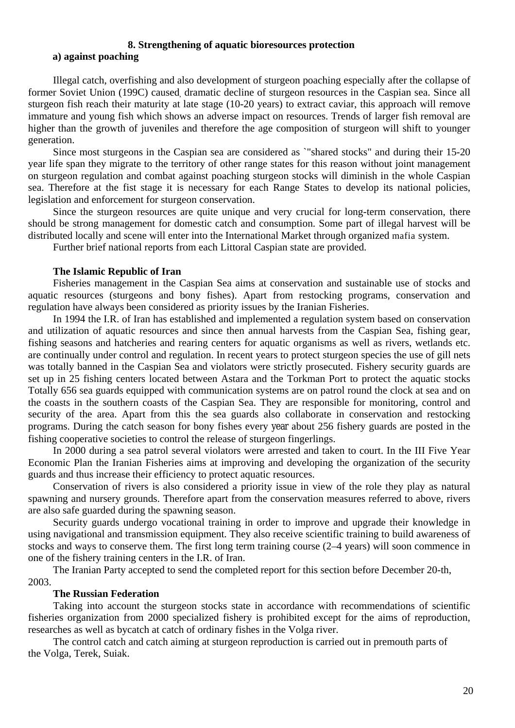# **8. Strengthening of aquatic bioresources protection a) against poaching**

Illegal catch, overfishing and also development of sturgeon poaching especially after the collapse of former Soviet Union (199C) caused, dramatic decline of sturgeon resources in the Caspian sea. Since all sturgeon fish reach their maturity at late stage (10-20 years) to extract caviar, this approach will remove immature and young fish which shows an adverse impact on resources. Trends of larger fish removal are higher than the growth of juveniles and therefore the age composition of sturgeon will shift to younger generation.

Since most sturgeons in the Caspian sea are considered as `"shared stocks" and during their 15-20 year life span they migrate to the territory of other range states for this reason without joint management on sturgeon regulation and combat against poaching sturgeon stocks will diminish in the whole Caspian sea. Therefore at the fist stage it is necessary for each Range States to develop its national policies, legislation and enforcement for sturgeon conservation.

Since the sturgeon resources are quite unique and very crucial for long-term conservation, there should be strong management for domestic catch and consumption. Some part of illegal harvest will be distributed locally and scene will enter into the International Market through organized mafia system.

Further brief national reports from each Littoral Caspian state are provided.

# **The Islamic Republic of Iran**

Fisheries management in the Caspian Sea aims at conservation and sustainable use of stocks and aquatic resources (sturgeons and bony fishes). Apart from restocking programs, conservation and regulation have always been considered as priority issues by the Iranian Fisheries.

In 1994 the I.R. of Iran has established and implemented a regulation system based on conservation and utilization of aquatic resources and since then annual harvests from the Caspian Sea, fishing gear, fishing seasons and hatcheries and rearing centers for aquatic organisms as well as rivers, wetlands etc. are continually under control and regulation. In recent years to protect sturgeon species the use of gill nets was totally banned in the Caspian Sea and violators were strictly prosecuted. Fishery security guards are set up in 25 fishing centers located between Astara and the Torkman Port to protect the aquatic stocks Totally 656 sea guards equipped with communication systems are on patrol round the clock at sea and on the coasts in the southern coasts of the Caspian Sea. They are responsible for monitoring, control and security of the area. Apart from this the sea guards also collaborate in conservation and restocking programs. During the catch season for bony fishes every year about 256 fishery guards are posted in the fishing cooperative societies to control the release of sturgeon fingerlings.

In 2000 during a sea patrol several violators were arrested and taken to court. In the III Five Year Economic Plan the Iranian Fisheries aims at improving and developing the organization of the security guards and thus increase their efficiency to protect aquatic resources.

Conservation of rivers is also considered a priority issue in view of the role they play as natural spawning and nursery grounds. Therefore apart from the conservation measures referred to above, rivers are also safe guarded during the spawning season.

Security guards undergo vocational training in order to improve and upgrade their knowledge in using navigational and transmission equipment. They also receive scientific training to build awareness of stocks and ways to conserve them. The first long term training course (2–4 years) will soon commence in one of the fishery training centers in the I.R. of Iran.

The Iranian Party accepted to send the completed report for this section before December 20-th, 2003.

## **The Russian Federation**

Taking into account the sturgeon stocks state in accordance with recommendations of scientific fisheries organization from 2000 specialized fishery is prohibited except for the aims of reproduction, researches as well as bycatch at catch of ordinary fishes in the Volga river.

The control catch and catch aiming at sturgeon reproduction is carried out in premouth parts of the Volga, Terek, Suiak.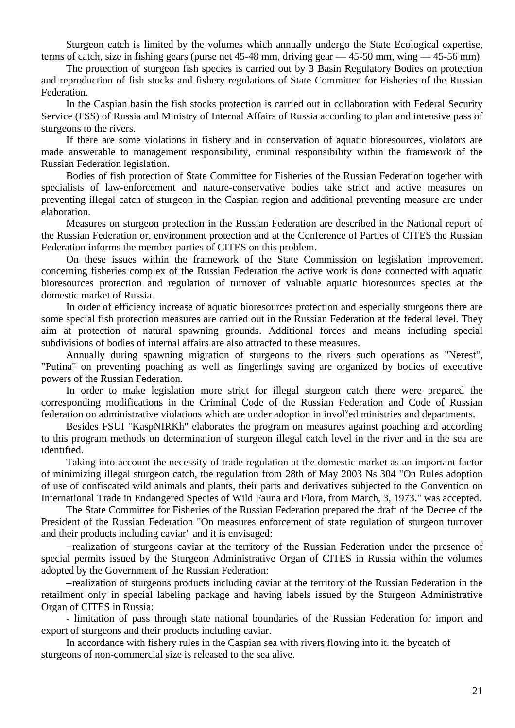Sturgeon catch is limited by the volumes which annually undergo the State Ecological expertise, terms of catch, size in fishing gears (purse net 45-48 mm, driving gear — 45-50 mm, wing — 45-56 mm).

The protection of sturgeon fish species is carried out by 3 Basin Regulatory Bodies on protection and reproduction of fish stocks and fishery regulations of State Committee for Fisheries of the Russian Federation.

In the Caspian basin the fish stocks protection is carried out in collaboration with Federal Security Service (FSS) of Russia and Ministry of Internal Affairs of Russia according to plan and intensive pass of sturgeons to the rivers.

If there are some violations in fishery and in conservation of aquatic bioresources, violators are made answerable to management responsibility, criminal responsibility within the framework of the Russian Federation legislation.

Bodies of fish protection of State Committee for Fisheries of the Russian Federation together with specialists of law-enforcement and nature-conservative bodies take strict and active measures on preventing illegal catch of sturgeon in the Caspian region and additional preventing measure are under elaboration.

Measures on sturgeon protection in the Russian Federation are described in the National report of the Russian Federation or, environment protection and at the Conference of Parties of CITES the Russian Federation informs the member-parties of CITES on this problem.

On these issues within the framework of the State Commission on legislation improvement concerning fisheries complex of the Russian Federation the active work is done connected with aquatic bioresources protection and regulation of turnover of valuable aquatic bioresources species at the domestic market of Russia.

In order of efficiency increase of aquatic bioresources protection and especially sturgeons there are some special fish protection measures are carried out in the Russian Federation at the federal level. They aim at protection of natural spawning grounds. Additional forces and means including special subdivisions of bodies of internal affairs are also attracted to these measures.

Annually during spawning migration of sturgeons to the rivers such operations as "Nerest", "Putina" on preventing poaching as well as fingerlings saving are organized by bodies of executive powers of the Russian Federation.

In order to make legislation more strict for illegal sturgeon catch there were prepared the corresponding modifications in the Criminal Code of the Russian Federation and Code of Russian federation on administrative violations which are under adoption in invol<sup>v</sup>ed ministries and departments.

Besides FSUI "KaspNIRKh" elaborates the program on measures against poaching and according to this program methods on determination of sturgeon illegal catch level in the river and in the sea are identified.

Taking into account the necessity of trade regulation at the domestic market as an important factor of minimizing illegal sturgeon catch, the regulation from 28th of May 2003 Ns 304 "On Rules adoption of use of confiscated wild animals and plants, their parts and derivatives subjected to the Convention on International Trade in Endangered Species of Wild Fauna and Flora, from March, 3, 1973." was accepted.

The State Committee for Fisheries of the Russian Federation prepared the draft of the Decree of the President of the Russian Federation "On measures enforcement of state regulation of sturgeon turnover and their products including caviar" and it is envisaged:

−realization of sturgeons caviar at the territory of the Russian Federation under the presence of special permits issued by the Sturgeon Administrative Organ of CITES in Russia within the volumes adopted by the Government of the Russian Federation:

−realization of sturgeons products including caviar at the territory of the Russian Federation in the retailment only in special labeling package and having labels issued by the Sturgeon Administrative Organ of CITES in Russia:

- limitation of pass through state national boundaries of the Russian Federation for import and export of sturgeons and their products including caviar.

In accordance with fishery rules in the Caspian sea with rivers flowing into it. the bycatch of sturgeons of non-commercial size is released to the sea alive.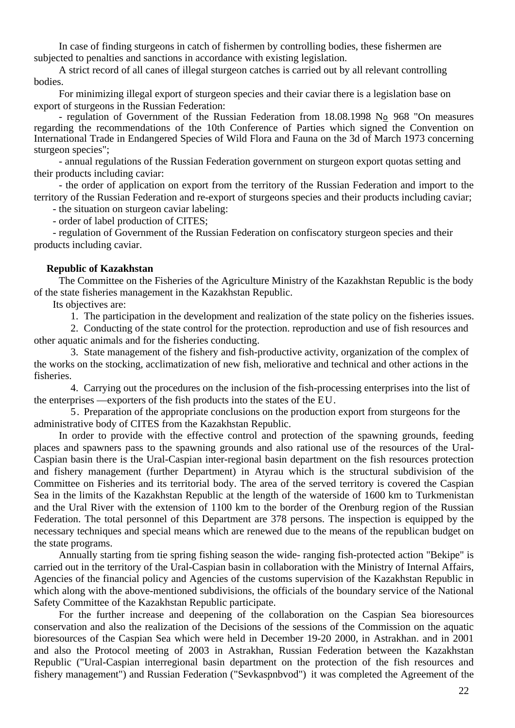In case of finding sturgeons in catch of fishermen by controlling bodies, these fishermen are subjected to penalties and sanctions in accordance with existing legislation.

A strict record of all canes of illegal sturgeon catches is carried out by all relevant controlling bodies.

For minimizing illegal export of sturgeon species and their caviar there is a legislation base on export of sturgeons in the Russian Federation:

- regulation of Government of the Russian Federation from 18.08.1998 N<sub>o</sub> 968 "On measures regarding the recommendations of the 10th Conference of Parties which signed the Convention on International Trade in Endangered Species of Wild Flora and Fauna on the 3d of March 1973 concerning sturgeon species";

- annual regulations of the Russian Federation government on sturgeon export quotas setting and their products including caviar:

- the order of application on export from the territory of the Russian Federation and import to the territory of the Russian Federation and re-export of sturgeons species and their products including caviar;

- the situation on sturgeon caviar labeling:

- order of label production of CITES;

 - regulation of Government of the Russian Federation on confiscatory sturgeon species and their products including caviar.

#### **Republic of Kazakhstan**

The Committee on the Fisheries of the Agriculture Ministry of the Kazakhstan Republic is the body of the state fisheries management in the Kazakhstan Republic.

Its objectives are:

1. The participation in the development and realization of the state policy on the fisheries issues.

2. Conducting of the state control for the protection. reproduction and use of fish resources and other aquatic animals and for the fisheries conducting.

3. State management of the fishery and fish-productive activity, organization of the complex of the works on the stocking, acclimatization of new fish, meliorative and technical and other actions in the fisheries.

4. Carrying out the procedures on the inclusion of the fish-processing enterprises into the list of the enterprises —exporters of the fish products into the states of the EU.

5. Preparation of the appropriate conclusions on the production export from sturgeons for the administrative body of CITES from the Kazakhstan Republic.

In order to provide with the effective control and protection of the spawning grounds, feeding places and spawners pass to the spawning grounds and also rational use of the resources of the Ural-Caspian basin there is the Ural-Caspian inter-regional basin department on the fish resources protection and fishery management (further Department) in Atyrau which is the structural subdivision of the Committee on Fisheries and its territorial body. The area of the served territory is covered the Caspian Sea in the limits of the Kazakhstan Republic at the length of the waterside of 1600 km to Turkmenistan and the Ural River with the extension of 1100 km to the border of the Orenburg region of the Russian Federation. The total personnel of this Department are 378 persons. The inspection is equipped by the necessary techniques and special means which are renewed due to the means of the republican budget on the state programs.

Annually starting from tie spring fishing season the wide- ranging fish-protected action "Bekipe" is carried out in the territory of the Ural-Caspian basin in collaboration with the Ministry of Internal Affairs, Agencies of the financial policy and Agencies of the customs supervision of the Kazakhstan Republic in which along with the above-mentioned subdivisions, the officials of the boundary service of the National Safety Committee of the Kazakhstan Republic participate.

For the further increase and deepening of the collaboration on the Caspian Sea bioresources conservation and also the realization of the Decisions of the sessions of the Commission on the aquatic bioresources of the Caspian Sea which were held in December 19-20 2000, in Astrakhan. and in 2001 and also the Protocol meeting of 2003 in Astrakhan, Russian Federation between the Kazakhstan Republic ("Ural-Caspian interregional basin department on the protection of the fish resources and fishery management") and Russian Federation ("Sevkaspnbvod") it was completed the Agreement of the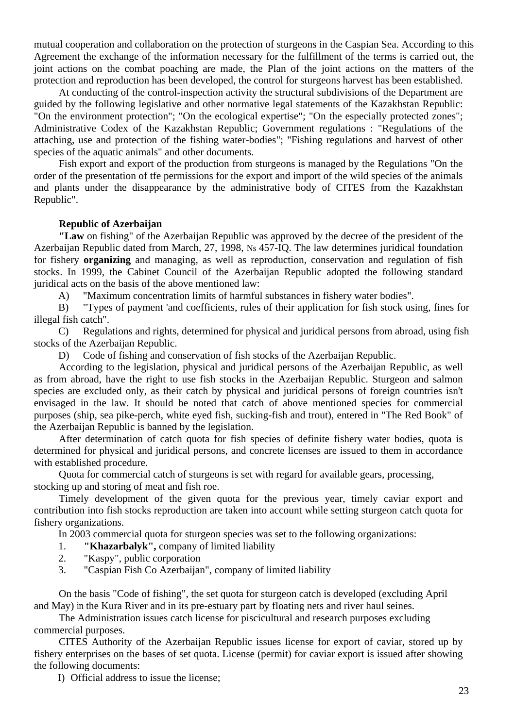mutual cooperation and collaboration on the protection of sturgeons in the Caspian Sea. According to this Agreement the exchange of the information necessary for the fulfillment of the terms is carried out, the joint actions on the combat poaching are made, the Plan of the joint actions on the matters of the protection and reproduction has been developed, the control for sturgeons harvest has been established.

At conducting of the control-inspection activity the structural subdivisions of the Department are guided by the following legislative and other normative legal statements of the Kazakhstan Republic: "On the environment protection"; "On the ecological expertise"; "On the especially protected zones"; Administrative Codex of the Kazakhstan Republic; Government regulations : "Regulations of the attaching, use and protection of the fishing water-bodies"; "Fishing regulations and harvest of other species of the aquatic animals" and other documents.

Fish export and export of the production from sturgeons is managed by the Regulations "On the order of the presentation of tfe permissions for the export and import of the wild species of the animals and plants under the disappearance by the administrative body of CITES from the Kazakhstan Republic".

### **Republic of Azerbaijan**

**"Law** on fishing" of the Azerbaijan Republic was approved by the decree of the president of the Azerbaijan Republic dated from March, 27, 1998, Ns 457-IQ. The law determines juridical foundation for fishery **organizing** and managing, as well as reproduction, conservation and regulation of fish stocks. In 1999, the Cabinet Council of the Azerbaijan Republic adopted the following standard juridical acts on the basis of the above mentioned law:

A) "Maximum concentration limits of harmful substances in fishery water bodies".

B) "Types of payment 'and coefficients, rules of their application for fish stock using, fines for illegal fish catch".

C) Regulations and rights, determined for physical and juridical persons from abroad, using fish stocks of the Azerbaijan Republic.

D) Code of fishing and conservation of fish stocks of the Azerbaijan Republic.

According to the legislation, physical and juridical persons of the Azerbaijan Republic, as well as from abroad, have the right to use fish stocks in the Azerbaijan Republic. Sturgeon and salmon species are excluded only, as their catch by physical and juridical persons of foreign countries isn't envisaged in the law. It should be noted that catch of above mentioned species for commercial purposes (ship, sea pike-perch, white eyed fish, sucking-fish and trout), entered in "The Red Book" of the Azerbaijan Republic is banned by the legislation.

After determination of catch quota for fish species of definite fishery water bodies, quota is determined for physical and juridical persons, and concrete licenses are issued to them in accordance with established procedure.

Quota for commercial catch of sturgeons is set with regard for available gears, processing, stocking up and storing of meat and fish roe.

Timely development of the given quota for the previous year, timely caviar export and contribution into fish stocks reproduction are taken into account while setting sturgeon catch quota for fishery organizations.

In 2003 commercial quota for sturgeon species was set to the following organizations:

- 1. **"Khazarbalyk",** company of limited liability
- 2. "Kaspy", public corporation
- 3. "Caspian Fish Co Azerbaijan", company of limited liability

On the basis "Code of fishing", the set quota for sturgeon catch is developed (excluding April and May) in the Kura River and in its pre-estuary part by floating nets and river haul seines.

The Administration issues catch license for piscicultural and research purposes excluding commercial purposes.

CITES Authority of the Azerbaijan Republic issues license for export of caviar, stored up by fishery enterprises on the bases of set quota. License (permit) for caviar export is issued after showing the following documents:

I) Official address to issue the license;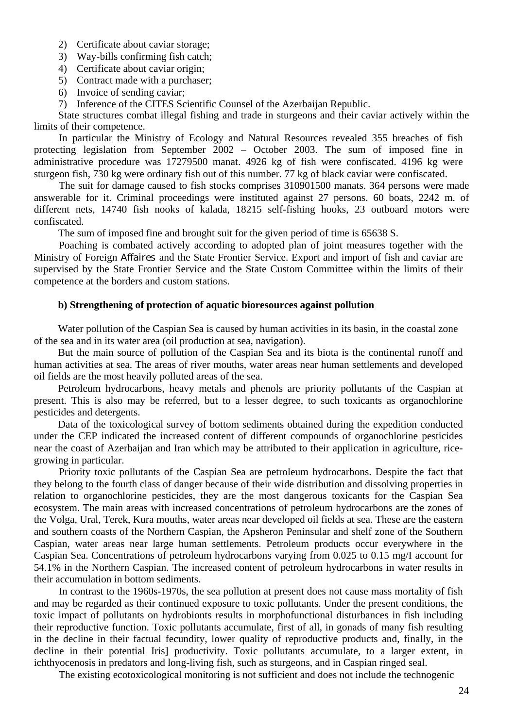- 2) Certificate about caviar storage;
- 3) Way-bills confirming fish catch;
- 4) Certificate about caviar origin;
- 5) Contract made with a purchaser;
- 6) Invoice of sending caviar;
- 7) Inference of the CITES Scientific Counsel of the Azerbaijan Republic.

State structures combat illegal fishing and trade in sturgeons and their caviar actively within the limits of their competence.

In particular the Ministry of Ecology and Natural Resources revealed 355 breaches of fish protecting legislation from September 2002 – October 2003. The sum of imposed fine in administrative procedure was 17279500 manat. 4926 kg of fish were confiscated. 4196 kg were sturgeon fish, 730 kg were ordinary fish out of this number. 77 kg of black caviar were confiscated.

The suit for damage caused to fish stocks comprises 310901500 manats. 364 persons were made answerable for it. Criminal proceedings were instituted against 27 persons. 60 boats, 2242 m. of different nets, 14740 fish nooks of kalada, 18215 self-fishing hooks, 23 outboard motors were confiscated.

The sum of imposed fine and brought suit for the given period of time is 65638 S.

Poaching is combated actively according to adopted plan of joint measures together with the Ministry of Foreign Affaires and the State Frontier Service. Export and import of fish and caviar are supervised by the State Frontier Service and the State Custom Committee within the limits of their competence at the borders and custom stations.

#### **b) Strengthening of protection of aquatic bioresources against pollution**

Water pollution of the Caspian Sea is caused by human activities in its basin, in the coastal zone of the sea and in its water area (oil production at sea, navigation).

But the main source of pollution of the Caspian Sea and its biota is the continental runoff and human activities at sea. The areas of river mouths, water areas near human settlements and developed oil fields are the most heavily polluted areas of the sea.

Petroleum hydrocarbons, heavy metals and phenols are priority pollutants of the Caspian at present. This is also may be referred, but to a lesser degree, to such toxicants as organochlorine pesticides and detergents.

Data of the toxicological survey of bottom sediments obtained during the expedition conducted under the CEP indicated the increased content of different compounds of organochlorine pesticides near the coast of Azerbaijan and Iran which may be attributed to their application in agriculture, ricegrowing in particular.

Priority toxic pollutants of the Caspian Sea are petroleum hydrocarbons. Despite the fact that they belong to the fourth class of danger because of their wide distribution and dissolving properties in relation to organochlorine pesticides, they are the most dangerous toxicants for the Caspian Sea ecosystem. The main areas with increased concentrations of petroleum hydrocarbons are the zones of the Volga, Ural, Terek, Kura mouths, water areas near developed oil fields at sea. These are the eastern and southern coasts of the Northern Caspian, the Apsheron Peninsular and shelf zone of the Southern Caspian, water areas near large human settlements. Petroleum products occur everywhere in the Caspian Sea. Concentrations of petroleum hydrocarbons varying from 0.025 to 0.15 mg/I account for 54.1% in the Northern Caspian. The increased content of petroleum hydrocarbons in water results in their accumulation in bottom sediments.

In contrast to the 1960s-1970s, the sea pollution at present does not cause mass mortality of fish and may be regarded as their continued exposure to toxic pollutants. Under the present conditions, the toxic impact of pollutants on hydrobionts results in morphofunctional disturbances in fish including their reproductive function. Toxic pollutants accumulate, first of all, in gonads of many fish resulting in the decline in their factual fecundity, lower quality of reproductive products and, finally, in the decline in their potential Iris] productivity. Toxic pollutants accumulate, to a larger extent, in ichthyocenosis in predators and long-living fish, such as sturgeons, and in Caspian ringed seal.

The existing ecotoxicological monitoring is not sufficient and does not include the technogenic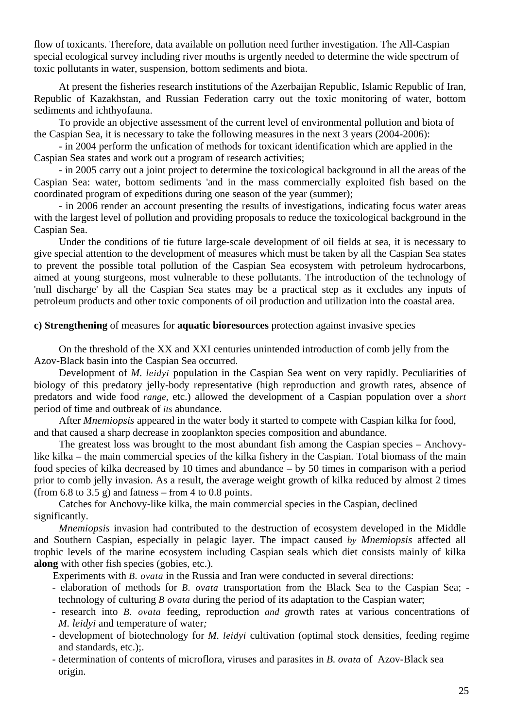flow of toxicants. Therefore, data available on pollution need further investigation. The All-Caspian special ecological survey including river mouths is urgently needed to determine the wide spectrum of toxic pollutants in water, suspension, bottom sediments and biota.

At present the fisheries research institutions of the Azerbaijan Republic, Islamic Republic of Iran, Republic of Kazakhstan, and Russian Federation carry out the toxic monitoring of water, bottom sediments and ichthyofauna.

To provide an objective assessment of the current level of environmental pollution and biota of the Caspian Sea, it is necessary to take the following measures in the next 3 years (2004-2006):

- in 2004 perform the unfication of methods for toxicant identification which are applied in the Caspian Sea states and work out a program of research activities;

- in 2005 carry out a joint project to determine the toxicological background in all the areas of the Caspian Sea: water, bottom sediments 'and in the mass commercially exploited fish based on the coordinated program of expeditions during one season of the year (summer);

- in 2006 render an account presenting the results of investigations, indicating focus water areas with the largest level of pollution and providing proposals to reduce the toxicological background in the Caspian Sea.

Under the conditions of tie future large-scale development of oil fields at sea, it is necessary to give special attention to the development of measures which must be taken by all the Caspian Sea states to prevent the possible total pollution of the Caspian Sea ecosystem with petroleum hydrocarbons, aimed at young sturgeons, most vulnerable to these pollutants. The introduction of the technology of 'null discharge' by all the Caspian Sea states may be a practical step as it excludes any inputs of petroleum products and other toxic components of oil production and utilization into the coastal area.

## **c) Strengthening** of measures for **aquatic bioresources** protection against invasive species

On the threshold of the XX and XXI centuries unintended introduction of comb jelly from the Azov-Black basin into the Caspian Sea occurred.

Development of *M. leidyi* population in the Caspian Sea went on very rapidly. Peculiarities of biology of this predatory jelly-body representative (high reproduction and growth rates, absence of predators and wide food *range,* etc.) allowed the development of a Caspian population over a *short*  period of time and outbreak of *its* abundance.

After *Mnemiopsis* appeared in the water body it started to compete with Caspian kilka for food, and that caused a sharp decrease in zooplankton species composition and abundance.

The greatest loss was brought to the most abundant fish among the Caspian species – Anchovylike kilka – the main commercial species of the kilka fishery in the Caspian. Total biomass of the main food species of kilka decreased by 10 times and abundance – by 50 times in comparison with a period prior to comb jelly invasion. As a result, the average weight growth of kilka reduced by almost 2 times (from 6.8 to 3.5 g) and fatness – from 4 to 0.8 points.

Catches for Anchovy-like kilka, the main commercial species in the Caspian, declined significantly.

*Mnemiopsis* invasion had contributed to the destruction of ecosystem developed in the Middle and Southern Caspian, especially in pelagic layer. The impact caused *by Mnemiopsis* affected all trophic levels of the marine ecosystem including Caspian seals which diet consists mainly of kilka **along** with other fish species (gobies, etc.).

Experiments with *B. ovata* in the Russia and Iran were conducted in several directions:

- elaboration of methods for *B. ovata* transportation from the Black Sea to the Caspian Sea; technology of culturing *B ovata* during the period of its adaptation to the Caspian water;
- research into *B. ovata* feeding, reproduction *and g*rowth rates at various concentrations of *M. leidyi* and temperature of water*;*
- development of biotechnology for *M. leidyi* cultivation (optimal stock densities, feeding regime and standards, etc.);.
- determination of contents of microflora, viruses and parasites in *B. ovata* of Azov-Black sea origin.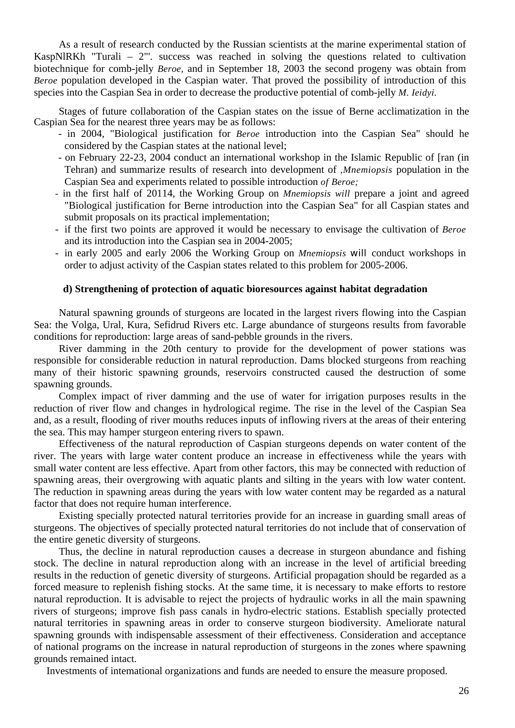As a result of research conducted by the Russian scientists at the marine experimental station of KaspNlRKh "Turali – 2"'. success was reached in solving the questions related to cultivation biotechnique for comb-jelly *Beroe,* and in September 18, 2003 the second progeny was obtain from *Beroe* population developed in the Caspian water. That proved the possibility of introduction of this species into the Caspian Sea in order to decrease the productive potential of comb-jelly *M*. *Ieidyi.*

Stages of future collaboration of the Caspian states on the issue of Berne acclimatization in the Caspian Sea for the nearest three years may be as follows:

- in 2004, "Biological justification for *Beroe* introduction into the Caspian Sea" should he considered by the Caspian states at the national level;
- on February 22-23, 2004 conduct an international workshop in the Islamic Republic of [ran (in Tehran) and summarize results of research into development of *,Mnemiopsis* population in the Caspian Sea and experiments related to possible introduction *of Beroe;*
- in the first half of 20114, the Working Group on *Mnemiopsis will* prepare a joint and agreed "Biological justification for Berne introduction into the Caspian Sea" for all Caspian states and submit proposals on its practical implementation;
- if the first two points are approved it would be necessary to envisage the cultivation of *Beroe*  and its introduction into the Caspian sea in 2004-2005;
- in early 2005 and early 2006 the Working Group on *Mnemiopsis* will conduct workshops in order to adjust activity of the Caspian states related to this problem for 2005-2006.

# **d) Strengthening of protection of aquatic bioresources against habitat degradation**

Natural spawning grounds of sturgeons are located in the largest rivers flowing into the Caspian Sea: the Volga, Ural, Kura, Sefidrud Rivers etc. Large abundance of sturgeons results from favorable conditions for reproduction: large areas of sand-pebble grounds in the rivers.

River damming in the 20th century to provide for the development of power stations was responsible for considerable reduction in natural reproduction. Dams blocked sturgeons from reaching many of their historic spawning grounds, reservoirs constructed caused the destruction of some spawning grounds.

Complex impact of river damming and the use of water for irrigation purposes results in the reduction of river flow and changes in hydrological regime. The rise in the level of the Caspian Sea and, as a result, flooding of river mouths reduces inputs of inflowing rivers at the areas of their entering the sea. This may hamper sturgeon entering rivers to spawn.

Effectiveness of the natural reproduction of Caspian sturgeons depends on water content of the river. The years with large water content produce an increase in effectiveness while the years with small water content are less effective. Apart from other factors, this may be connected with reduction of spawning areas, their overgrowing with aquatic plants and silting in the years with low water content. The reduction in spawning areas during the years with low water content may be regarded as a natural factor that does not require human interference.

Existing specially protected natural territories provide for an increase in guarding small areas of sturgeons. The objectives of specially protected natural territories do not include that of conservation of the entire genetic diversity of sturgeons.

Thus, the decline in natural reproduction causes a decrease in sturgeon abundance and fishing stock. The decline in natural reproduction along with an increase in the level of artificial breeding results in the reduction of genetic diversity of sturgeons. Artificial propagation should be regarded as a forced measure to replenish fishing stocks. At the same time, it is necessary to make efforts to restore natural reproduction. It is advisable to reject the projects of hydraulic works in all the main spawning rivers of sturgeons; improve fish pass canals in hydro-electric stations. Establish specially protected natural territories in spawning areas in order to conserve sturgeon biodiversity. Ameliorate natural spawning grounds with indispensable assessment of their effectiveness. Consideration and acceptance of national programs on the increase in natural reproduction of sturgeons in the zones where spawning grounds remained intact.

Investments of intemational organizations and funds are needed to ensure the measure proposed.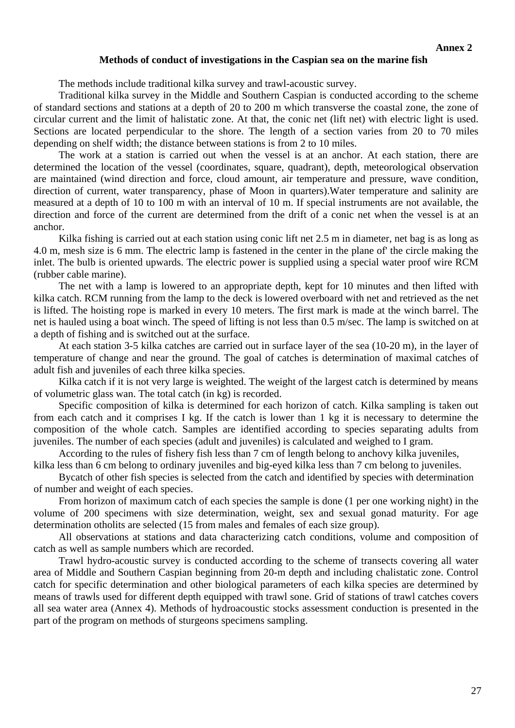#### **Methods of conduct of investigations in the Caspian sea on the marine fish**

The methods include traditional kilka survey and trawl-acoustic survey.

Traditional kilka survey in the Middle and Southern Caspian is conducted according to the scheme of standard sections and stations at a depth of 20 to 200 m which transverse the coastal zone, the zone of circular current and the limit of halistatic zone. At that, the conic net (lift net) with electric light is used. Sections are located perpendicular to the shore. The length of a section varies from 20 to 70 miles depending on shelf width; the distance between stations is from 2 to 10 miles.

The work at a station is carried out when the vessel is at an anchor. At each station, there are determined the location of the vessel (coordinates, square, quadrant), depth, meteorological observation are maintained (wind direction and force, cloud amount, air temperature and pressure, wave condition, direction of current, water transparency, phase of Moon in quarters).Water temperature and salinity are measured at a depth of 10 to 100 m with an interval of 10 m. If special instruments are not available, the direction and force of the current are determined from the drift of a conic net when the vessel is at an anchor.

Kilka fishing is carried out at each station using conic lift net 2.5 m in diameter, net bag is as long as 4.0 m, mesh size is 6 mm. The electric lamp is fastened in the center in the plane of' the circle making the inlet. The bulb is oriented upwards. The electric power is supplied using a special water proof wire RCM (rubber cable marine).

The net with a lamp is lowered to an appropriate depth, kept for 10 minutes and then lifted with kilka catch. RCM running from the lamp to the deck is lowered overboard with net and retrieved as the net is lifted. The hoisting rope is marked in every 10 meters. The first mark is made at the winch barrel. The net is hauled using a boat winch. The speed of lifting is not less than 0.5 m/sec. The lamp is switched on at a depth of fishing and is switched out at the surface.

At each station 3-5 kilka catches are carried out in surface layer of the sea (10-20 m), in the layer of temperature of change and near the ground. The goal of catches is determination of maximal catches of adult fish and juveniles of each three kilka species.

Kilka catch if it is not very large is weighted. The weight of the largest catch is determined by means of volumetric glass wan. The total catch (in kg) is recorded.

Specific composition of kilka is determined for each horizon of catch. Kilka sampling is taken out from each catch and it comprises I kg. If the catch is lower than 1 kg it is necessary to determine the composition of the whole catch. Samples are identified according to species separating adults from juveniles. The number of each species (adult and juveniles) is calculated and weighed to I gram.

According to the rules of fishery fish less than 7 cm of length belong to anchovy kilka juveniles, kilka less than 6 cm belong to ordinary juveniles and big-eyed kilka less than 7 cm belong to juveniles.

Bycatch of other fish species is selected from the catch and identified by species with determination of number and weight of each species.

From horizon of maximum catch of each species the sample is done (1 per one working night) in the volume of 200 specimens with size determination, weight, sex and sexual gonad maturity. For age determination otholits are selected (15 from males and females of each size group).

All observations at stations and data characterizing catch conditions, volume and composition of catch as well as sample numbers which are recorded.

Trawl hydro-acoustic survey is conducted according to the scheme of transects covering all water area of Middle and Southern Caspian beginning from 20-m depth and including chalistatic zone. Control catch for specific determination and other biological parameters of each kilka species are determined by means of trawls used for different depth equipped with trawl sone. Grid of stations of trawl catches covers all sea water area (Annex 4). Methods of hydroacoustic stocks assessment conduction is presented in the part of the program on methods of sturgeons specimens sampling.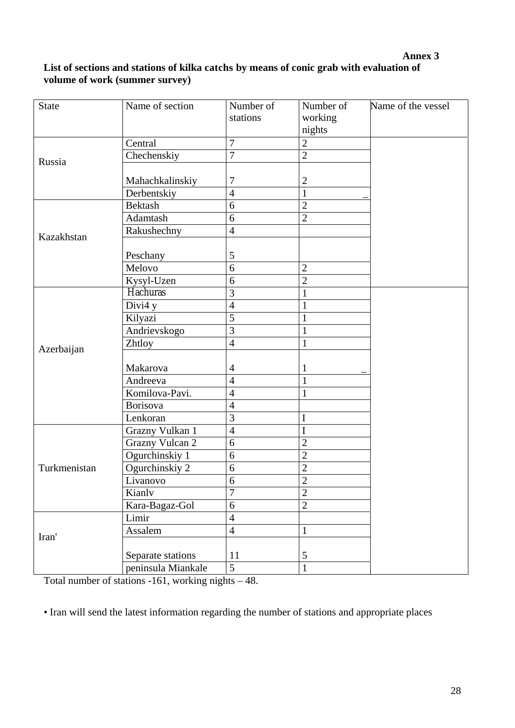# **Annex 3 List of sections and stations of kilka catchs by means of conic grab with evaluation of volume of work (summer survey)**

| <b>State</b> | Name of section    | Number of        | Number of        | Name of the vessel |
|--------------|--------------------|------------------|------------------|--------------------|
|              |                    | stations         | working          |                    |
|              |                    |                  | nights           |                    |
|              | Central            | $\overline{7}$   | $\overline{2}$   |                    |
|              | Chechenskiy        | $\overline{7}$   | $\overline{2}$   |                    |
| Russia       |                    |                  |                  |                    |
|              | Mahachkalinskiy    | 7                | $\overline{2}$   |                    |
|              | Derbentskiy        | $\overline{4}$   | $\mathbf{1}$     |                    |
|              | <b>Bektash</b>     | 6                | $\overline{2}$   |                    |
|              | Adamtash           | 6                | $\overline{2}$   |                    |
|              | Rakushechny        | $\overline{4}$   |                  |                    |
| Kazakhstan   |                    |                  |                  |                    |
|              | Peschany           | 5                |                  |                    |
|              | Melovo             | 6                | $\overline{2}$   |                    |
|              | Kysyl-Uzen         | 6                | $\overline{2}$   |                    |
|              | <b>Hachuras</b>    | $\overline{3}$   | $\mathbf{1}$     |                    |
|              | Divi4 y            | $\overline{4}$   | $\mathbf{1}$     |                    |
|              | Kilyazi            | $\overline{5}$   | $\mathbf{1}$     |                    |
|              | Andrievskogo       | $\overline{3}$   | $\mathbf{1}$     |                    |
|              | Zhtloy             | $\overline{4}$   | $\mathbf{1}$     |                    |
| Azerbaijan   |                    |                  |                  |                    |
|              | Makarova           | 4                | 1                |                    |
|              | Andreeva           | $\overline{4}$   | $\mathbf{1}$     |                    |
|              | Komilova-Pavi.     | $\overline{4}$   | $\mathbf{1}$     |                    |
|              | Borisova           | $\overline{4}$   |                  |                    |
|              | Lenkoran           | $\overline{3}$   | I                |                    |
|              | Grazny Vulkan 1    | $\overline{4}$   | I                |                    |
|              | Grazny Vulcan 2    | 6                | $\overline{2}$   |                    |
|              | Ogurchinskiy 1     | 6                | $\overline{2}$   |                    |
| Turkmenistan | Ogurchinskiy 2     | $\boldsymbol{6}$ | $\overline{2}$   |                    |
|              | Livanovo           | 6                | $\overline{2}$   |                    |
|              | Kianly             | 7                | $\boldsymbol{2}$ |                    |
|              | Kara-Bagaz-Gol     | 6                | $\overline{2}$   |                    |
|              | Limir              | $\overline{4}$   |                  |                    |
|              | Assalem            | $\overline{4}$   | $\mathbf{1}$     |                    |
| Iran'        |                    |                  |                  |                    |
|              | Separate stations  | 11               | 5                |                    |
|              | peninsula Miankale | 5                | $\mathbf{1}$     |                    |

Total number of stations -161, working nights – 48.

• Iran will send the latest information regarding the number of stations and appropriate places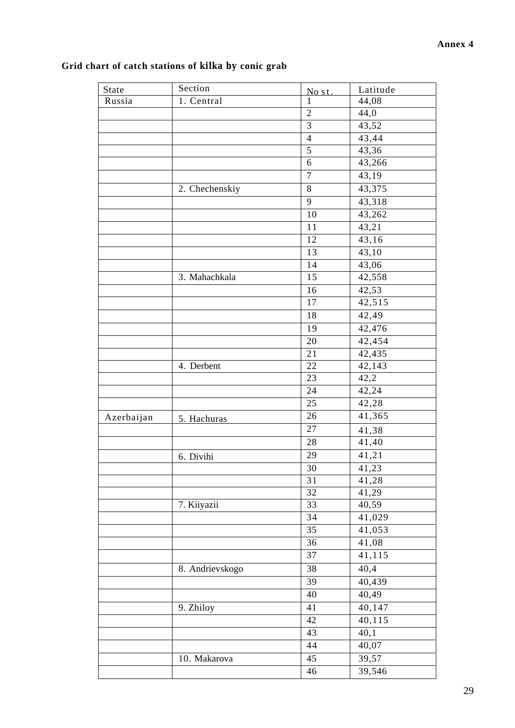# **Grid chart of catch stations of kilka by conic grab**

| State      | Section         | No st.         | Latitude |
|------------|-----------------|----------------|----------|
| Russia     | 1. Central      | 1              | 44,08    |
|            |                 | $\sqrt{2}$     | 44,0     |
|            |                 | 3              | 43,52    |
|            |                 | $\overline{4}$ | 43,44    |
|            |                 | 5              | 43,36    |
|            |                 | 6              | 43,266   |
|            |                 | $\overline{7}$ | 43,19    |
|            | 2. Chechenskiy  | 8              | 43,375   |
|            |                 | 9              | 43,318   |
|            |                 | 10             | 43,262   |
|            |                 | 11             | 43,21    |
|            |                 | 12             | 43,16    |
|            |                 | 13             | 43,10    |
|            |                 | 14             | 43,06    |
|            | 3. Mahachkala   | 15             | 42,558   |
|            |                 | 16             | 42,53    |
|            |                 | 17             | 42,515   |
|            |                 | 18             | 42,49    |
|            |                 | 19             | 42,476   |
|            |                 | 20             | 42,454   |
|            |                 | 21             | 42,435   |
|            | 4. Derbent      | 22             | 42,143   |
|            |                 | 23             | 42,2     |
|            |                 | 24             | 42,24    |
|            |                 | 25             | 42,28    |
| Azerbaijan | 5. Hachuras     | 26             | 41,365   |
|            |                 | 27             | 41,38    |
|            |                 | 28             | 41,40    |
|            | 6. Divihi       | 29             | 41,21    |
|            |                 | $30\,$         | 41,23    |
|            |                 | 31             | 41,28    |
|            |                 | 32             | 41,29    |
|            | 7. Kiiyazii     | 33             | 40,59    |
|            |                 | 34             | 41,029   |
|            |                 | 35             | 41,053   |
|            |                 | 36             | 41,08    |
|            |                 | 37             | 41,115   |
|            | 8. Andrievskogo | 38             | 40,4     |
|            |                 | 39             | 40,439   |
|            |                 | 40             | 40,49    |
|            | 9. Zhiloy       | 41             | 40,147   |
|            |                 | 42             | 40,115   |
|            |                 | 43             | 40,1     |
|            |                 | 44             | 40,07    |
|            | 10. Makarova    | 45             | 39,57    |
|            |                 | 46             | 39,546   |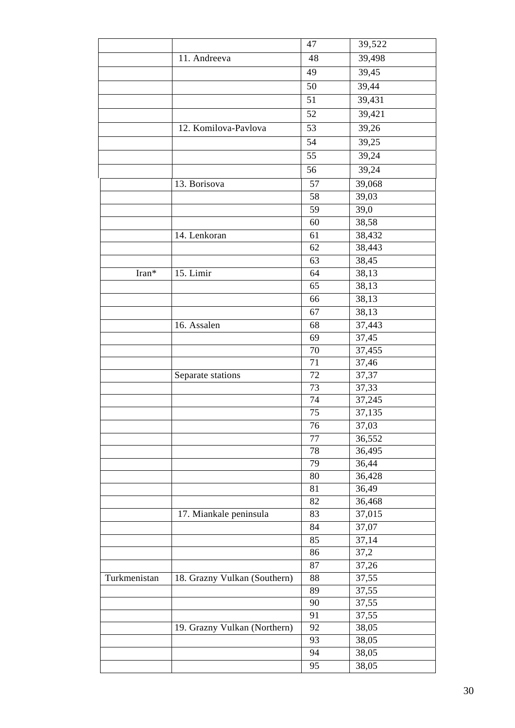|              |                              | 47 | 39,522 |
|--------------|------------------------------|----|--------|
|              | 11. Andreeva                 | 48 | 39,498 |
|              |                              | 49 | 39,45  |
|              |                              | 50 | 39,44  |
|              |                              | 51 | 39,431 |
|              |                              | 52 | 39,421 |
|              | 12. Komilova-Pavlova         | 53 | 39,26  |
|              |                              | 54 |        |
|              |                              |    | 39,25  |
|              |                              | 55 | 39,24  |
|              |                              | 56 | 39,24  |
|              | 13. Borisova                 | 57 | 39,068 |
|              |                              | 58 | 39,03  |
|              |                              | 59 | 39,0   |
|              |                              | 60 | 38,58  |
|              | 14. Lenkoran                 | 61 | 38,432 |
|              |                              | 62 | 38,443 |
|              |                              | 63 | 38,45  |
| Iran*        | 15. Limir                    | 64 | 38,13  |
|              |                              | 65 | 38,13  |
|              |                              | 66 | 38,13  |
|              |                              | 67 | 38,13  |
|              | 16. Assalen                  | 68 | 37,443 |
|              |                              | 69 | 37,45  |
|              |                              | 70 | 37,455 |
|              |                              | 71 | 37,46  |
|              | Separate stations            | 72 | 37,37  |
|              |                              | 73 | 37,33  |
|              |                              | 74 | 37,245 |
|              |                              | 75 | 37,135 |
|              |                              | 76 | 37,03  |
|              |                              | 77 | 36,552 |
|              |                              | 78 | 36,495 |
|              |                              | 79 | 36,44  |
|              |                              | 80 | 36,428 |
|              |                              | 81 | 36,49  |
|              |                              | 82 | 36,468 |
|              | 17. Miankale peninsula       | 83 | 37,015 |
|              |                              | 84 | 37,07  |
|              |                              | 85 | 37,14  |
|              |                              | 86 | 37,2   |
|              |                              | 87 | 37,26  |
| Turkmenistan | 18. Grazny Vulkan (Southern) | 88 | 37,55  |
|              |                              | 89 | 37,55  |
|              |                              | 90 | 37,55  |
|              |                              | 91 | 37,55  |
|              | 19. Grazny Vulkan (Northern) | 92 | 38,05  |
|              |                              | 93 | 38,05  |
|              |                              | 94 | 38,05  |
|              |                              | 95 | 38,05  |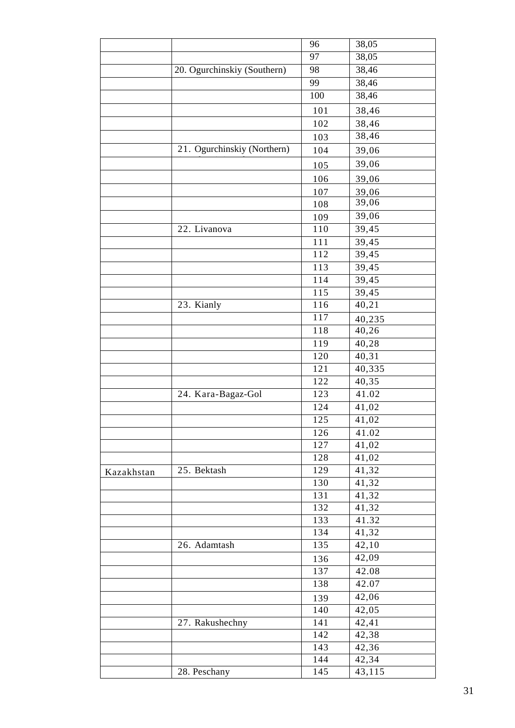|            |                             | 96         | 38,05          |
|------------|-----------------------------|------------|----------------|
|            |                             | 97         | 38,05          |
|            | 20. Ogurchinskiy (Southern) | 98         | 38,46          |
|            |                             | 99         | 38,46          |
|            |                             | 100        | 38,46          |
|            |                             | 101        | 38,46          |
|            |                             | 102        | 38,46          |
|            |                             | 103        | 38,46          |
|            | 21. Ogurchinskiy (Northern) | 104        | 39,06          |
|            |                             | 105        | 39,06          |
|            |                             | 106        | 39,06          |
|            |                             | 107        | 39,06          |
|            |                             | 108        | 39,06          |
|            |                             | 109        | 39,06          |
|            | 22. Livanova                | 110        | 39,45          |
|            |                             | 111        | 39,45          |
|            |                             | 112        | 39,45          |
|            |                             | 113        | 39,45          |
|            |                             | 114        | 39,45          |
|            |                             | 115        | 39,45          |
|            | 23. Kianly                  | 116        | 40,21          |
|            |                             | 117        | 40,235         |
|            |                             | 118        | 40,26          |
|            |                             | 119        | 40,28          |
|            |                             | 120        | 40,31          |
|            |                             | 121        | 40,335         |
|            |                             | 122        | 40,35          |
|            | 24. Kara-Bagaz-Gol          | 123        | 41.02          |
|            |                             | 124        | 41,02          |
|            |                             | 125        | 41,02          |
|            |                             | 126        | 41.02          |
|            |                             | 127        | 41,02          |
|            |                             | 128        | 41,02          |
| Kazakhstan | 25. Bektash                 | 129        | 41,32          |
|            |                             | 130        | 41,32          |
|            |                             | 131        | 41,32          |
|            |                             | 132        | 41,32          |
|            |                             | 133        | 41.32          |
|            |                             | 134        | 41,32          |
|            | 26. Adamtash                | 135        | 42,10<br>42,09 |
|            |                             | 136        |                |
|            |                             | 137        | 42.08          |
|            |                             | 138        | 42.07          |
|            |                             | 139        | 42,06          |
|            |                             | 140        | 42,05<br>42,41 |
|            | 27. Rakushechny             | 141<br>142 | 42,38          |
|            |                             | 143        | 42,36          |
|            |                             | 144        | 42,34          |
|            | 28. Peschany                | 145        | 43,115         |
|            |                             |            |                |